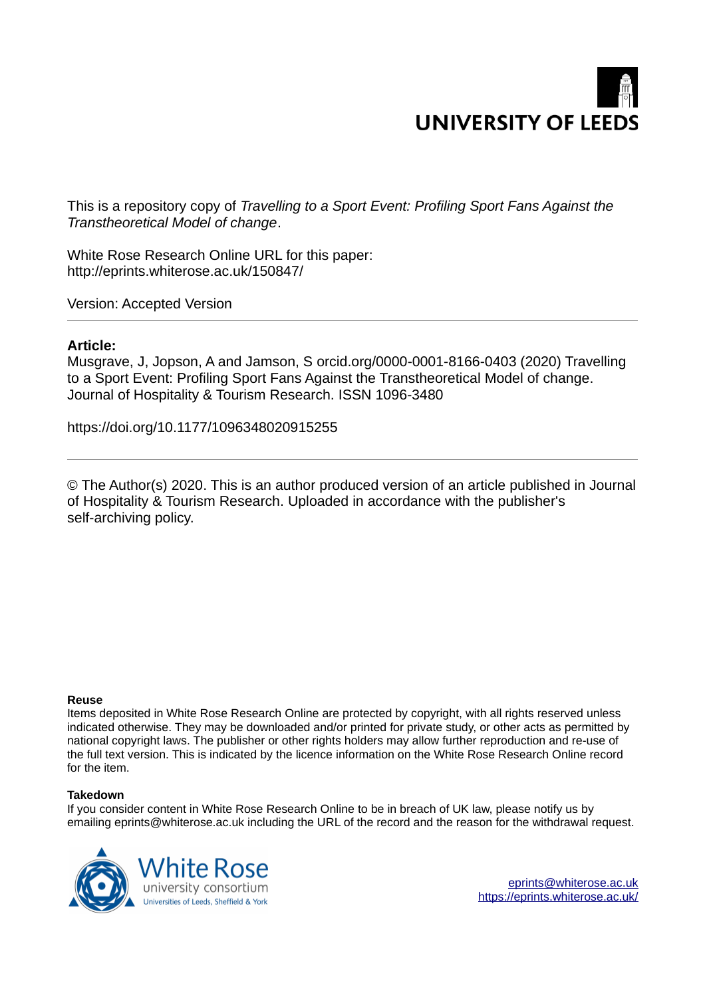

This is a repository copy of *Travelling to a Sport Event: Profiling Sport Fans Against the Transtheoretical Model of change*.

White Rose Research Online URL for this paper: http://eprints.whiterose.ac.uk/150847/

Version: Accepted Version

#### **Article:**

Musgrave, J, Jopson, A and Jamson, S orcid.org/0000-0001-8166-0403 (2020) Travelling to a Sport Event: Profiling Sport Fans Against the Transtheoretical Model of change. Journal of Hospitality & Tourism Research. ISSN 1096-3480

https://doi.org/10.1177/1096348020915255

© The Author(s) 2020. This is an author produced version of an article published in Journal of Hospitality & Tourism Research. Uploaded in accordance with the publisher's self-archiving policy.

#### **Reuse**

Items deposited in White Rose Research Online are protected by copyright, with all rights reserved unless indicated otherwise. They may be downloaded and/or printed for private study, or other acts as permitted by national copyright laws. The publisher or other rights holders may allow further reproduction and re-use of the full text version. This is indicated by the licence information on the White Rose Research Online record for the item.

#### **Takedown**

If you consider content in White Rose Research Online to be in breach of UK law, please notify us by emailing eprints@whiterose.ac.uk including the URL of the record and the reason for the withdrawal request.

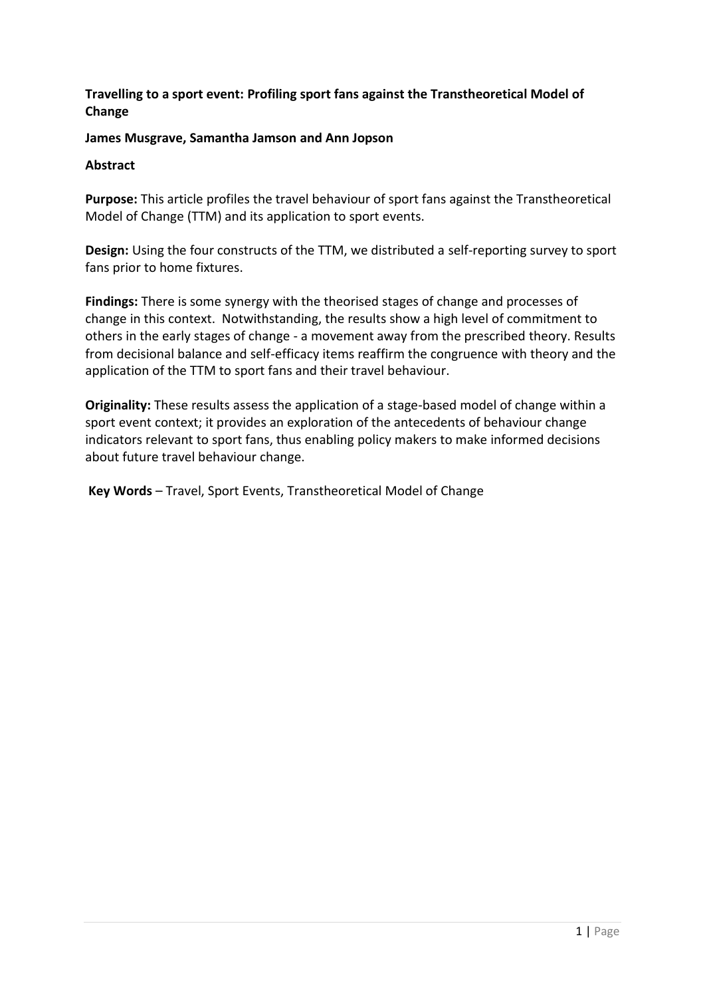# **Travelling to a sport event: Profiling sport fans against the Transtheoretical Model of Change**

# **James Musgrave, Samantha Jamson and Ann Jopson**

## **Abstract**

**Purpose:** This article profiles the travel behaviour of sport fans against the Transtheoretical Model of Change (TTM) and its application to sport events.

**Design:** Using the four constructs of the TTM, we distributed a self-reporting survey to sport fans prior to home fixtures.

**Findings:** There is some synergy with the theorised stages of change and processes of change in this context. Notwithstanding, the results show a high level of commitment to others in the early stages of change - a movement away from the prescribed theory. Results from decisional balance and self-efficacy items reaffirm the congruence with theory and the application of the TTM to sport fans and their travel behaviour.

**Originality:** These results assess the application of a stage-based model of change within a sport event context; it provides an exploration of the antecedents of behaviour change indicators relevant to sport fans, thus enabling policy makers to make informed decisions about future travel behaviour change.

Key Words - Travel, Sport Events, Transtheoretical Model of Change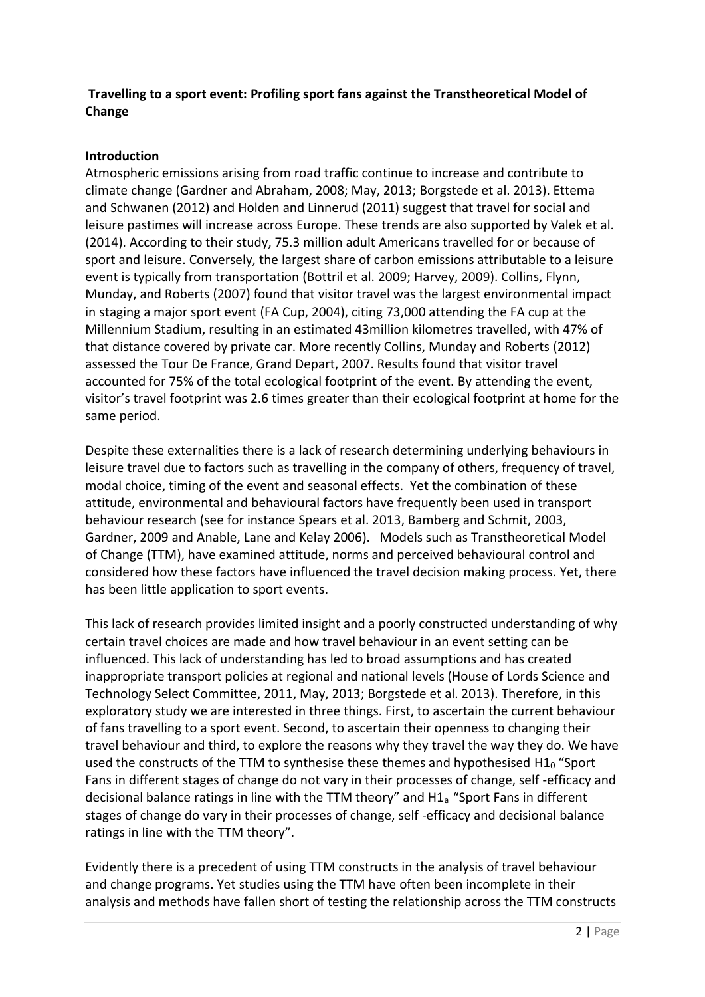# **Travelling to a sport event: Profiling sport fans against the Transtheoretical Model of Change**

# **Introduction**

Atmospheric emissions arising from road traffic continue to increase and contribute to climate change (Gardner and Abraham, 2008; May, 2013; Borgstede et al. 2013). Ettema and Schwanen (2012) and Holden and Linnerud (2011) suggest that travel for social and leisure pastimes will increase across Europe. These trends are also supported by Valek et al. (2014). According to their study, 75.3 million adult Americans travelled for or because of sport and leisure. Conversely, the largest share of carbon emissions attributable to a leisure event is typically from transportation (Bottril et al. 2009; Harvey, 2009). Collins, Flynn, Munday, and Roberts (2007) found that visitor travel was the largest environmental impact in staging a major sport event (FA Cup, 2004), citing 73,000 attending the FA cup at the Millennium Stadium, resulting in an estimated 43million kilometres travelled, with 47% of that distance covered by private car. More recently Collins, Munday and Roberts (2012) assessed the Tour De France, Grand Depart, 2007. Results found that visitor travel accounted for 75% of the total ecological footprint of the event. By attending the event, visitor's travel footprint was 2.6 times greater than their ecological footprint at home for the same period.

Despite these externalities there is a lack of research determining underlying behaviours in leisure travel due to factors such as travelling in the company of others, frequency of travel, modal choice, timing of the event and seasonal effects. Yet the combination of these attitude, environmental and behavioural factors have frequently been used in transport behaviour research (see for instance Spears et al. 2013, Bamberg and Schmit, 2003, Gardner, 2009 and Anable, Lane and Kelay 2006). Models such as Transtheoretical Model of Change (TTM), have examined attitude, norms and perceived behavioural control and considered how these factors have influenced the travel decision making process. Yet, there has been little application to sport events.

This lack of research provides limited insight and a poorly constructed understanding of why certain travel choices are made and how travel behaviour in an event setting can be influenced. This lack of understanding has led to broad assumptions and has created inappropriate transport policies at regional and national levels (House of Lords Science and Technology Select Committee, 2011, May, 2013; Borgstede et al. 2013). Therefore, in this exploratory study we are interested in three things. First, to ascertain the current behaviour of fans travelling to a sport event. Second, to ascertain their openness to changing their travel behaviour and third, to explore the reasons why they travel the way they do. We have used the constructs of the TTM to synthesise these themes and hypothesised  $H1<sub>0</sub>$  "Sport Fans in different stages of change do not vary in their processes of change, self -efficacy and decisional balance ratings in line with the TTM theory" and H1a "Sport Fans in different stages of change do vary in their processes of change, self -efficacy and decisional balance ratings in line with the TTM theory".

Evidently there is a precedent of using TTM constructs in the analysis of travel behaviour and change programs. Yet studies using the TTM have often been incomplete in their analysis and methods have fallen short of testing the relationship across the TTM constructs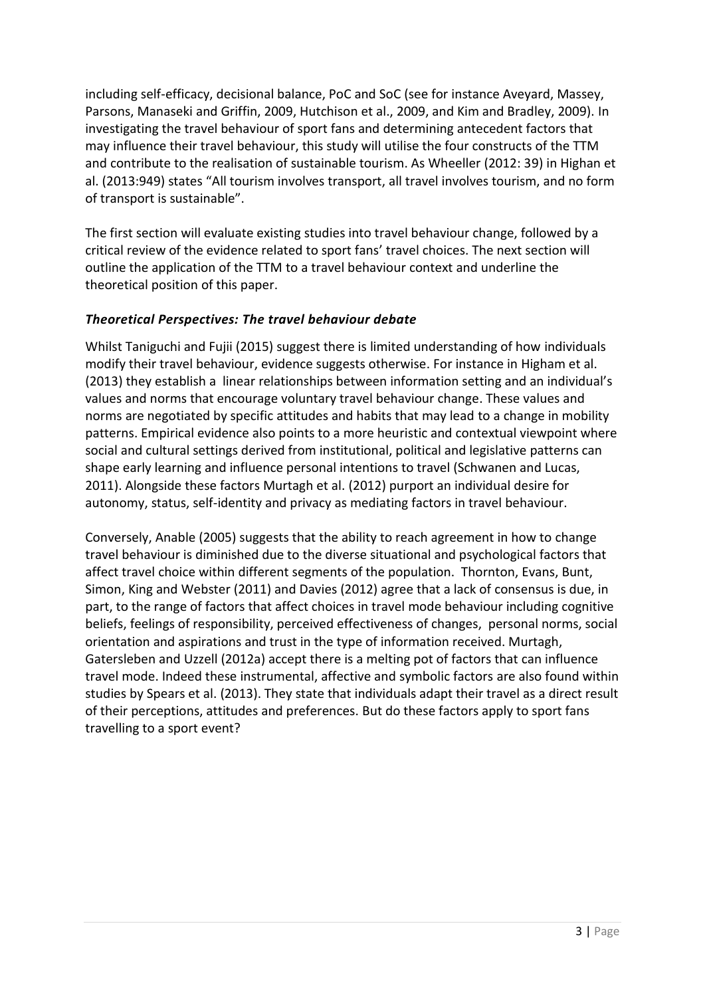including self-efficacy, decisional balance, PoC and SoC (see for instance Aveyard, Massey, Parsons, Manaseki and Griffin, 2009, Hutchison et al., 2009, and Kim and Bradley, 2009). In investigating the travel behaviour of sport fans and determining antecedent factors that may influence their travel behaviour, this study will utilise the four constructs of the TTM and contribute to the realisation of sustainable tourism. As Wheeller (2012: 39) in Highan et al. (2013:949) states "All tourism involves transport, all travel involves tourism, and no form of transport is sustainable".

The first section will evaluate existing studies into travel behaviour change, followed by a critical review of the evidence related to sport fans' travel choices. The next section will outline the application of the TTM to a travel behaviour context and underline the theoretical position of this paper.

# *Theoretical Perspectives: The travel behaviour debate*

Whilst Taniguchi and Fujii (2015) suggest there is limited understanding of how individuals modify their travel behaviour, evidence suggests otherwise. For instance in Higham et al. (2013) they establish a linear relationships between information setting and an individual's values and norms that encourage voluntary travel behaviour change. These values and norms are negotiated by specific attitudes and habits that may lead to a change in mobility patterns. Empirical evidence also points to a more heuristic and contextual viewpoint where social and cultural settings derived from institutional, political and legislative patterns can shape early learning and influence personal intentions to travel (Schwanen and Lucas, 2011). Alongside these factors Murtagh et al. (2012) purport an individual desire for autonomy, status, self-identity and privacy as mediating factors in travel behaviour.

Conversely, Anable (2005) suggests that the ability to reach agreement in how to change travel behaviour is diminished due to the diverse situational and psychological factors that affect travel choice within different segments of the population. Thornton, Evans, Bunt, Simon, King and Webster (2011) and Davies (2012) agree that a lack of consensus is due, in part, to the range of factors that affect choices in travel mode behaviour including cognitive beliefs, feelings of responsibility, perceived effectiveness of changes, personal norms, social orientation and aspirations and trust in the type of information received. Murtagh, Gatersleben and Uzzell (2012a) accept there is a melting pot of factors that can influence travel mode. Indeed these instrumental, affective and symbolic factors are also found within studies by Spears et al. (2013). They state that individuals adapt their travel as a direct result of their perceptions, attitudes and preferences. But do these factors apply to sport fans travelling to a sport event?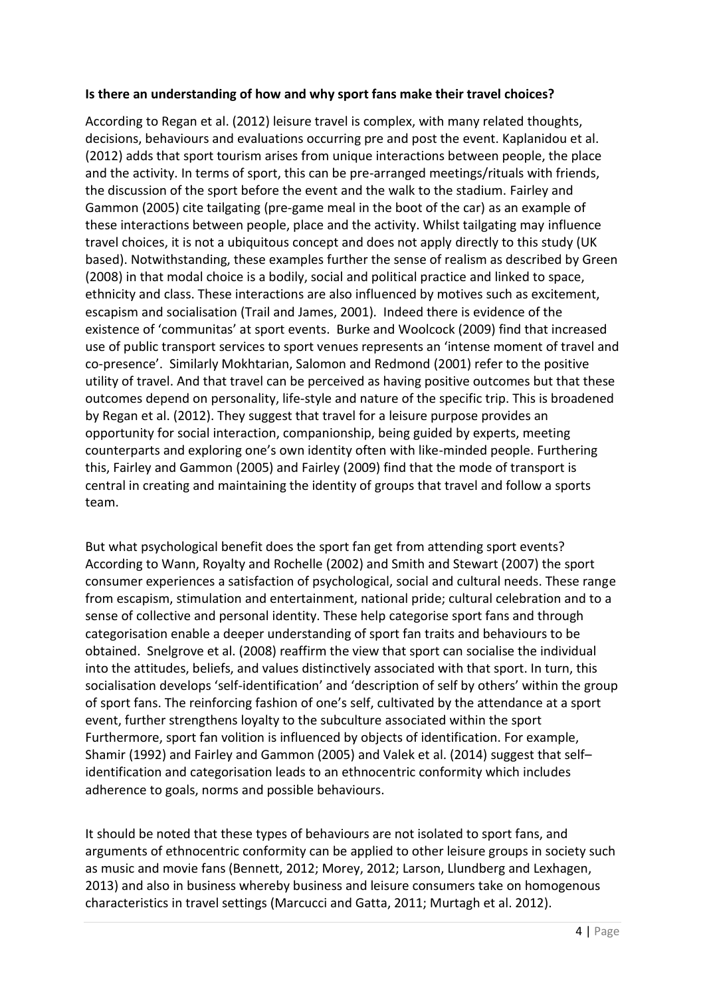## **Is there an understanding of how and why sport fans make their travel choices?**

According to Regan et al. (2012) leisure travel is complex, with many related thoughts, decisions, behaviours and evaluations occurring pre and post the event. Kaplanidou et al. (2012) adds that sport tourism arises from unique interactions between people, the place and the activity. In terms of sport, this can be pre-arranged meetings/rituals with friends, the discussion of the sport before the event and the walk to the stadium. Fairley and Gammon (2005) cite tailgating (pre-game meal in the boot of the car) as an example of these interactions between people, place and the activity. Whilst tailgating may influence travel choices, it is not a ubiquitous concept and does not apply directly to this study (UK based). Notwithstanding, these examples further the sense of realism as described by Green (2008) in that modal choice is a bodily, social and political practice and linked to space, ethnicity and class. These interactions are also influenced by motives such as excitement, escapism and socialisation (Trail and James, 2001). Indeed there is evidence of the existence of 'communitas' at sport events. Burke and Woolcock (2009) find that increased use of public transport services to sport venues represents an 'intense moment of travel and co-presence'. Similarly Mokhtarian, Salomon and Redmond (2001) refer to the positive utility of travel. And that travel can be perceived as having positive outcomes but that these outcomes depend on personality, life-style and nature of the specific trip. This is broadened by Regan et al. (2012). They suggest that travel for a leisure purpose provides an opportunity for social interaction, companionship, being guided by experts, meeting counterparts and exploring one's own identity often with like-minded people. Furthering this, Fairley and Gammon (2005) and Fairley (2009) find that the mode of transport is central in creating and maintaining the identity of groups that travel and follow a sports team.

But what psychological benefit does the sport fan get from attending sport events? According to Wann, Royalty and Rochelle (2002) and Smith and Stewart (2007) the sport consumer experiences a satisfaction of psychological, social and cultural needs. These range from escapism, stimulation and entertainment, national pride; cultural celebration and to a sense of collective and personal identity. These help categorise sport fans and through categorisation enable a deeper understanding of sport fan traits and behaviours to be obtained. Snelgrove et al. (2008) reaffirm the view that sport can socialise the individual into the attitudes, beliefs, and values distinctively associated with that sport. In turn, this socialisation develops 'self-identification' and 'description of self by others' within the group of sport fans. The reinforcing fashion of one's self, cultivated by the attendance at a sport event, further strengthens loyalty to the subculture associated within the sport Furthermore, sport fan volition is influenced by objects of identification. For example, Shamir (1992) and Fairley and Gammon (2005) and Valek et al. (2014) suggest that selfidentification and categorisation leads to an ethnocentric conformity which includes adherence to goals, norms and possible behaviours.

It should be noted that these types of behaviours are not isolated to sport fans, and arguments of ethnocentric conformity can be applied to other leisure groups in society such as music and movie fans (Bennett, 2012; Morey, 2012; Larson, Llundberg and Lexhagen, 2013) and also in business whereby business and leisure consumers take on homogenous characteristics in travel settings (Marcucci and Gatta, 2011; Murtagh et al. 2012).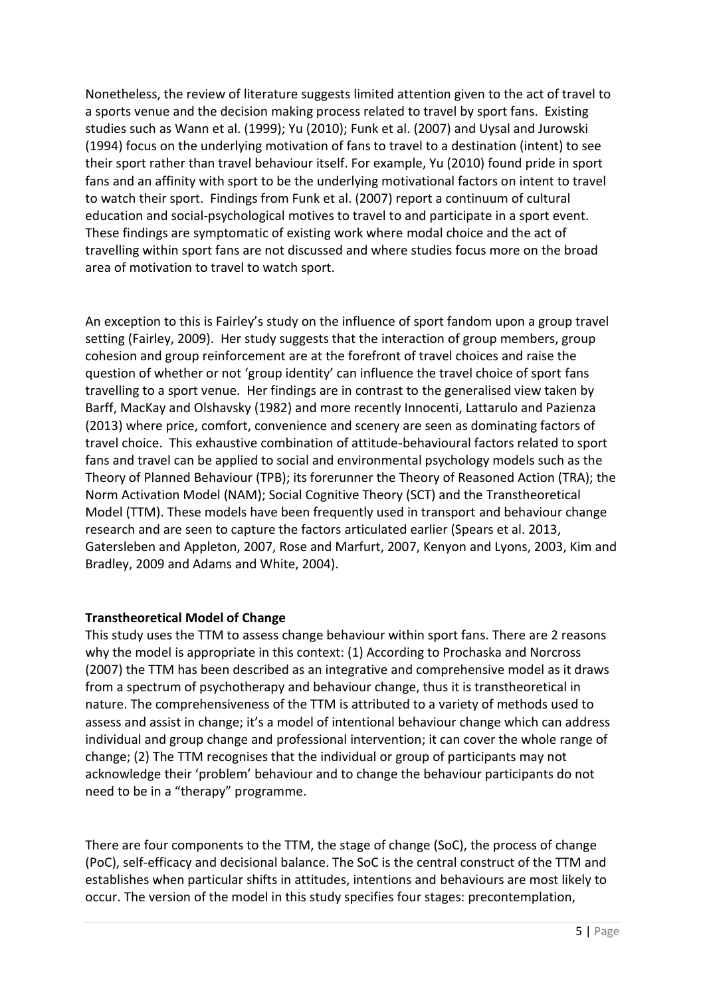Nonetheless, the review of literature suggests limited attention given to the act of travel to a sports venue and the decision making process related to travel by sport fans. Existing studies such as Wann et al. (1999); Yu (2010); Funk et al. (2007) and Uysal and Jurowski (1994) focus on the underlying motivation of fans to travel to a destination (intent) to see their sport rather than travel behaviour itself. For example, Yu (2010) found pride in sport fans and an affinity with sport to be the underlying motivational factors on intent to travel to watch their sport. Findings from Funk et al. (2007) report a continuum of cultural education and social-psychological motives to travel to and participate in a sport event. These findings are symptomatic of existing work where modal choice and the act of travelling within sport fans are not discussed and where studies focus more on the broad area of motivation to travel to watch sport.

An exception to this is Fairley's study on the influence of sport fandom upon a group travel setting (Fairley, 2009). Her study suggests that the interaction of group members, group cohesion and group reinforcement are at the forefront of travel choices and raise the question of whether or not 'group identity' can influence the travel choice of sport fans travelling to a sport venue. Her findings are in contrast to the generalised view taken by Barff, MacKay and Olshavsky (1982) and more recently Innocenti, Lattarulo and Pazienza (2013) where price, comfort, convenience and scenery are seen as dominating factors of travel choice. This exhaustive combination of attitude-behavioural factors related to sport fans and travel can be applied to social and environmental psychology models such as the Theory of Planned Behaviour (TPB); its forerunner the Theory of Reasoned Action (TRA); the Norm Activation Model (NAM); Social Cognitive Theory (SCT) and the Transtheoretical Model (TTM). These models have been frequently used in transport and behaviour change research and are seen to capture the factors articulated earlier (Spears et al. 2013, Gatersleben and Appleton, 2007, Rose and Marfurt, 2007, Kenyon and Lyons, 2003, Kim and Bradley, 2009 and Adams and White, 2004).

# **Transtheoretical Model of Change**

This study uses the TTM to assess change behaviour within sport fans. There are 2 reasons why the model is appropriate in this context: (1) According to Prochaska and Norcross (2007) the TTM has been described as an integrative and comprehensive model as it draws from a spectrum of psychotherapy and behaviour change, thus it is transtheoretical in nature. The comprehensiveness of the TTM is attributed to a variety of methods used to assess and assist in change; it's a model of intentional behaviour change which can address individual and group change and professional intervention; it can cover the whole range of change; (2) The TTM recognises that the individual or group of participants may not acknowledge their 'problem' behaviour and to change the behaviour participants do not need to be in a "therapy" programme.

There are four components to the TTM, the stage of change (SoC), the process of change (PoC), self-efficacy and decisional balance. The SoC is the central construct of the TTM and establishes when particular shifts in attitudes, intentions and behaviours are most likely to occur. The version of the model in this study specifies four stages: precontemplation,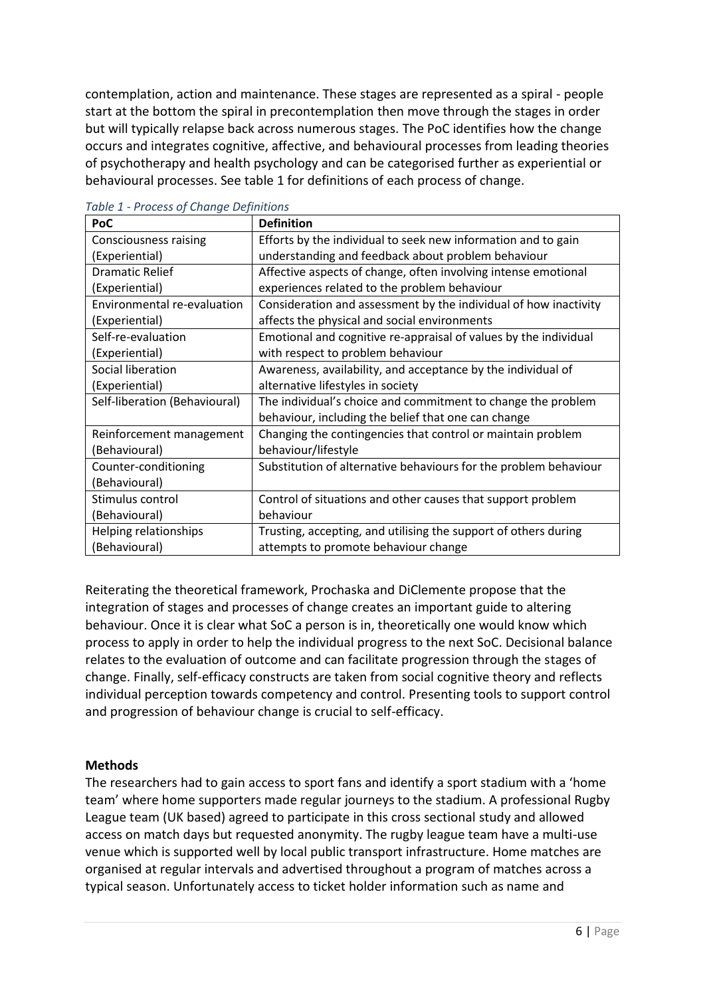contemplation, action and maintenance. These stages are represented as a spiral - people start at the bottom the spiral in precontemplation then move through the stages in order but will typically relapse back across numerous stages. The PoC identifies how the change occurs and integrates cognitive, affective, and behavioural processes from leading theories of psychotherapy and health psychology and can be categorised further as experiential or behavioural processes. See table 1 for definitions of each process of change.

| PoC                           | <b>Definition</b>                                                |
|-------------------------------|------------------------------------------------------------------|
| Consciousness raising         | Efforts by the individual to seek new information and to gain    |
| (Experiential)                | understanding and feedback about problem behaviour               |
| <b>Dramatic Relief</b>        | Affective aspects of change, often involving intense emotional   |
| (Experiential)                | experiences related to the problem behaviour                     |
| Environmental re-evaluation   | Consideration and assessment by the individual of how inactivity |
| (Experiential)                | affects the physical and social environments                     |
| Self-re-evaluation            | Emotional and cognitive re-appraisal of values by the individual |
| (Experiential)                | with respect to problem behaviour                                |
| Social liberation             | Awareness, availability, and acceptance by the individual of     |
| (Experiential)                | alternative lifestyles in society                                |
| Self-liberation (Behavioural) | The individual's choice and commitment to change the problem     |
|                               | behaviour, including the belief that one can change              |
| Reinforcement management      | Changing the contingencies that control or maintain problem      |
| (Behavioural)                 | behaviour/lifestyle                                              |
| Counter-conditioning          | Substitution of alternative behaviours for the problem behaviour |
| (Behavioural)                 |                                                                  |
| Stimulus control              | Control of situations and other causes that support problem      |
| (Behavioural)                 | behaviour                                                        |
| Helping relationships         | Trusting, accepting, and utilising the support of others during  |
| (Behavioural)                 | attempts to promote behaviour change                             |

*Table 1 - Process of Change Definitions* 

Reiterating the theoretical framework, Prochaska and DiClemente propose that the integration of stages and processes of change creates an important guide to altering behaviour. Once it is clear what SoC a person is in, theoretically one would know which process to apply in order to help the individual progress to the next SoC. Decisional balance relates to the evaluation of outcome and can facilitate progression through the stages of change. Finally, self-efficacy constructs are taken from social cognitive theory and reflects individual perception towards competency and control. Presenting tools to support control and progression of behaviour change is crucial to self-efficacy.

#### **Methods**

The researchers had to gain access to sport fans and identify a sport stadium with a 'home team' where home supporters made regular journeys to the stadium. A professional Rugby League team (UK based) agreed to participate in this cross sectional study and allowed access on match days but requested anonymity. The rugby league team have a multi-use venue which is supported well by local public transport infrastructure. Home matches are organised at regular intervals and advertised throughout a program of matches across a typical season. Unfortunately access to ticket holder information such as name and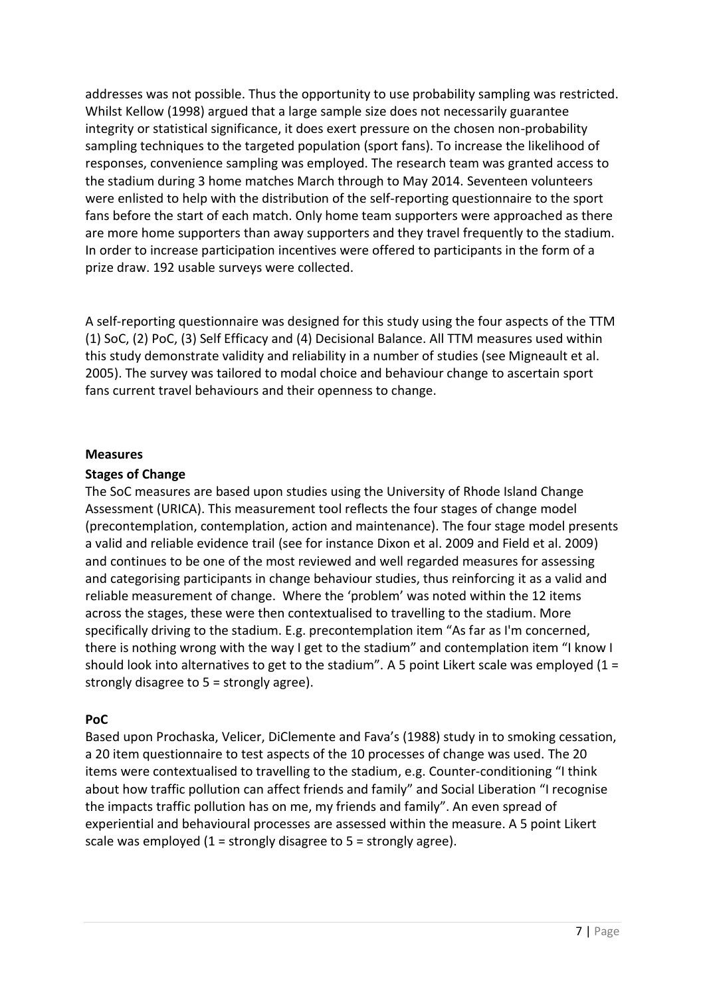addresses was not possible. Thus the opportunity to use probability sampling was restricted. Whilst Kellow (1998) argued that a large sample size does not necessarily guarantee integrity or statistical significance, it does exert pressure on the chosen non-probability sampling techniques to the targeted population (sport fans). To increase the likelihood of responses, convenience sampling was employed. The research team was granted access to the stadium during 3 home matches March through to May 2014. Seventeen volunteers were enlisted to help with the distribution of the self-reporting questionnaire to the sport fans before the start of each match. Only home team supporters were approached as there are more home supporters than away supporters and they travel frequently to the stadium. In order to increase participation incentives were offered to participants in the form of a prize draw. 192 usable surveys were collected.

A self-reporting questionnaire was designed for this study using the four aspects of the TTM (1) SoC, (2) PoC, (3) Self Efficacy and (4) Decisional Balance. All TTM measures used within this study demonstrate validity and reliability in a number of studies (see Migneault et al. 2005). The survey was tailored to modal choice and behaviour change to ascertain sport fans current travel behaviours and their openness to change.

#### **Measures**

#### **Stages of Change**

The SoC measures are based upon studies using the University of Rhode Island Change Assessment (URICA). This measurement tool reflects the four stages of change model (precontemplation, contemplation, action and maintenance). The four stage model presents a valid and reliable evidence trail (see for instance Dixon et al. 2009 and Field et al. 2009) and continues to be one of the most reviewed and well regarded measures for assessing and categorising participants in change behaviour studies, thus reinforcing it as a valid and reliable measurement of change. Where the 'problem' was noted within the 12 items across the stages, these were then contextualised to travelling to the stadium. More specifically driving to the stadium. E.g. precontemplation item "As far as I'm concerned. there is nothing wrong with the way I get to the stadium" and contemplation item "I know I should look into alternatives to get to the stadium". A 5 point Likert scale was employed (1 = strongly disagree to 5 = strongly agree).

#### **PoC**

Based upon Prochaska, Velicer, DiClemente and Fava's (1988) study in to smoking cessation, a 20 item questionnaire to test aspects of the 10 processes of change was used. The 20 items were contextualised to travelling to the stadium, e.g. Counter-conditioning "I think about how traffic pollution can affect friends and family" and Social Liberation "I recognise the impacts traffic pollution has on me, my friends and family". An even spread of experiential and behavioural processes are assessed within the measure. A 5 point Likert scale was employed  $(1 =$  strongly disagree to  $5 =$  strongly agree).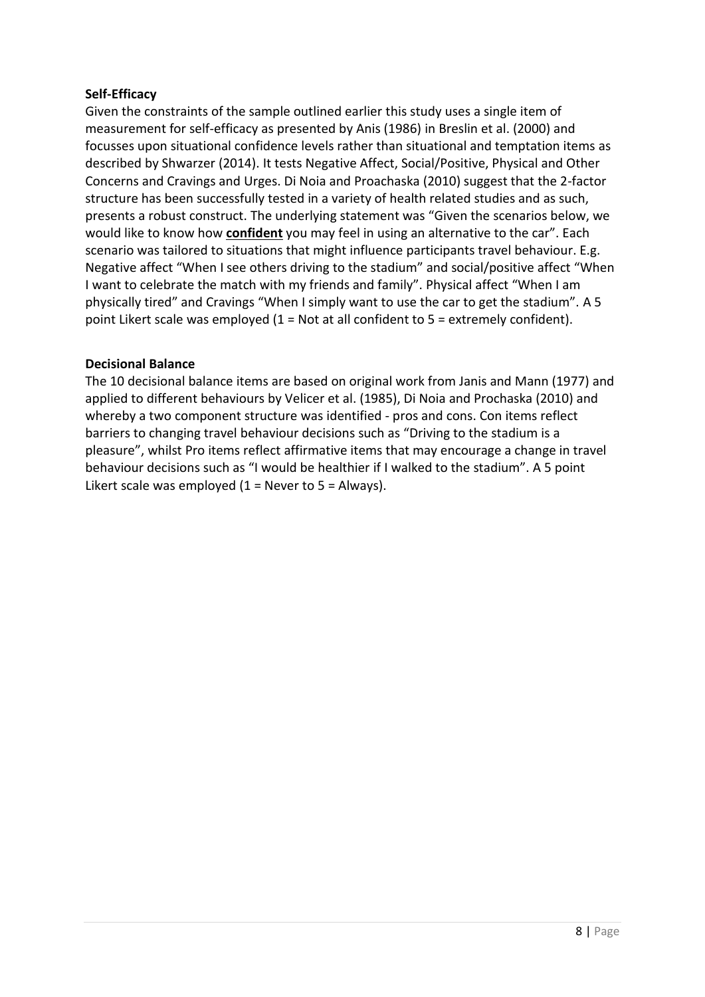# **Self-Efficacy**

Given the constraints of the sample outlined earlier this study uses a single item of measurement for self-efficacy as presented by Anis (1986) in Breslin et al. (2000) and focusses upon situational confidence levels rather than situational and temptation items as described by Shwarzer (2014). It tests Negative Affect, Social/Positive, Physical and Other Concerns and Cravings and Urges. Di Noia and Proachaska (2010) suggest that the 2-factor structure has been successfully tested in a variety of health related studies and as such, presents a robust construct. The underlying statement was "Given the scenarios below, we would like to know how **confident** you may feel in using an alternative to the car". Each scenario was tailored to situations that might influence participants travel behaviour. E.g. Negative affect "When I see others driving to the stadium" and social/positive affect "When I want to celebrate the match with my friends and family". Physical affect "When I am physically tired" and Cravings "When I simply want to use the car to get the stadium". A 5 point Likert scale was employed  $(1 = Not$  at all confident to  $5 =$  extremely confident).

## **Decisional Balance**

The 10 decisional balance items are based on original work from Janis and Mann (1977) and applied to different behaviours by Velicer et al. (1985), Di Noia and Prochaska (2010) and whereby a two component structure was identified - pros and cons. Con items reflect barriers to changing travel behaviour decisions such as "Driving to the stadium is a pleasure", whilst Pro items reflect affirmative items that may encourage a change in travel behaviour decisions such as "I would be healthier if I walked to the stadium". A 5 point Likert scale was employed  $(1 =$  Never to 5 = Always).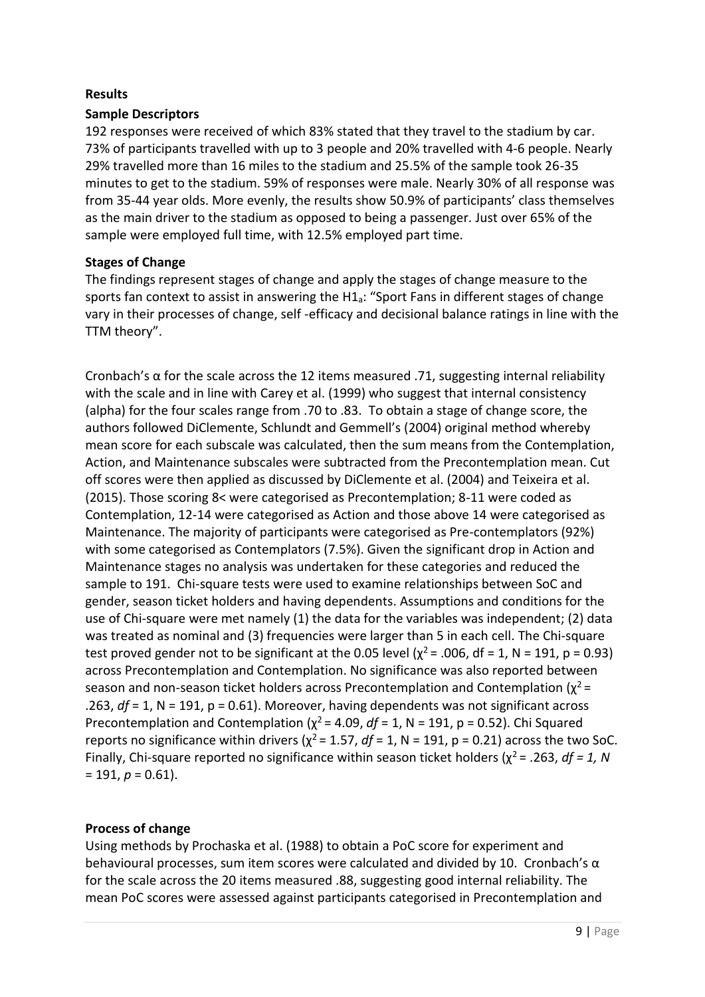## **Results**

## **Sample Descriptors**

192 responses were received of which 83% stated that they travel to the stadium by car. 73% of participants travelled with up to 3 people and 20% travelled with 4-6 people. Nearly 29% travelled more than 16 miles to the stadium and 25.5% of the sample took 26-35 minutes to get to the stadium. 59% of responses were male. Nearly 30% of all response was from 35-44 year olds. More evenly, the results show 50.9% of participants' class themselves as the main driver to the stadium as opposed to being a passenger. Just over 65% of the sample were employed full time, with 12.5% employed part time.

## **Stages of Change**

The findings represent stages of change and apply the stages of change measure to the sports fan context to assist in answering the H1a: "Sport Fans in different stages of change vary in their processes of change, self -efficacy and decisional balance ratings in line with the TTM theory".

Cronbach's  $\alpha$  for the scale across the 12 items measured .71, suggesting internal reliability with the scale and in line with Carey et al. (1999) who suggest that internal consistency (alpha) for the four scales range from .70 to .83. To obtain a stage of change score, the authors followed DiClemente, Schlundt and Gemmell's (2004) original method whereby mean score for each subscale was calculated, then the sum means from the Contemplation, Action, and Maintenance subscales were subtracted from the Precontemplation mean. Cut off scores were then applied as discussed by DiClemente et al. (2004) and Teixeira et al. (2015). Those scoring 8< were categorised as Precontemplation; 8-11 were coded as Contemplation, 12-14 were categorised as Action and those above 14 were categorised as Maintenance. The majority of participants were categorised as Pre-contemplators (92%) with some categorised as Contemplators (7.5%). Given the significant drop in Action and Maintenance stages no analysis was undertaken for these categories and reduced the sample to 191. Chi-square tests were used to examine relationships between SoC and gender, season ticket holders and having dependents. Assumptions and conditions for the use of Chi-square were met namely (1) the data for the variables was independent; (2) data was treated as nominal and (3) frequencies were larger than 5 in each cell. The Chi-square test proved gender not to be significant at the 0.05 level ( $\chi^2$  = .006, df = 1, N = 191, p = 0.93) across Precontemplation and Contemplation. No significance was also reported between season and non-season ticket holders across Precontemplation and Contemplation  $(\chi^2 =$ .263, *df* = 1, N = 191, p = 0.61). Moreover, having dependents was not significant across Precontemplation and Contemplation ( $\chi^2$  = 4.09, *df* = 1, N = 191, p = 0.52). Chi Squared reports no significance within drivers ( $\chi^2$  = 1.57, *df* = 1, N = 191, p = 0.21) across the two SoC. Finally, Chi-square reported no significance within season ticket holders ( $\chi^2$  = .263, *df = 1, N*  $= 191, p = 0.61$ ).

# **Process of change**

Using methods by Prochaska et al. (1988) to obtain a PoC score for experiment and behavioural processes, sum item scores were calculated and divided by 10. Cronbach's  $\alpha$ for the scale across the 20 items measured .88, suggesting good internal reliability. The mean PoC scores were assessed against participants categorised in Precontemplation and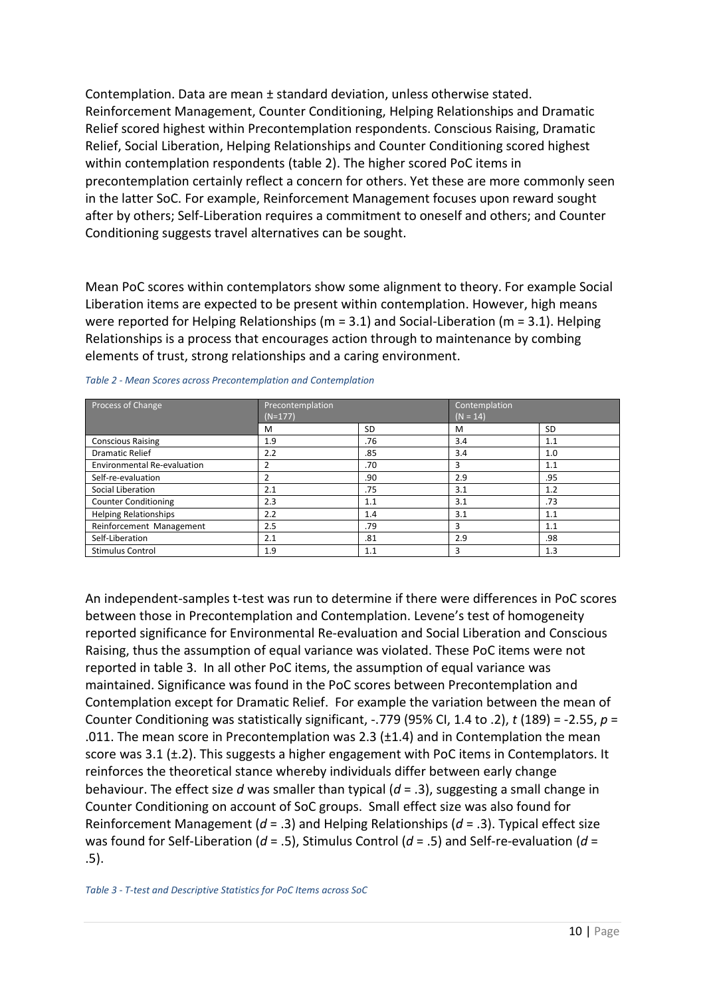Contemplation. Data are mean ± standard deviation, unless otherwise stated. Reinforcement Management, Counter Conditioning, Helping Relationships and Dramatic Relief scored highest within Precontemplation respondents. Conscious Raising, Dramatic Relief, Social Liberation, Helping Relationships and Counter Conditioning scored highest within contemplation respondents (table 2). The higher scored PoC items in precontemplation certainly reflect a concern for others. Yet these are more commonly seen in the latter SoC. For example, Reinforcement Management focuses upon reward sought after by others; Self-Liberation requires a commitment to oneself and others; and Counter Conditioning suggests travel alternatives can be sought.

Mean PoC scores within contemplators show some alignment to theory. For example Social Liberation items are expected to be present within contemplation. However, high means were reported for Helping Relationships (m = 3.1) and Social-Liberation (m = 3.1). Helping Relationships is a process that encourages action through to maintenance by combing elements of trust, strong relationships and a caring environment.

| Process of Change            | Precontemplation<br>$(N=177)$ |           | Contemplation<br>$(N = 14)$ |     |  |
|------------------------------|-------------------------------|-----------|-----------------------------|-----|--|
|                              | м                             | <b>SD</b> | M                           | SD  |  |
| <b>Conscious Raising</b>     | 1.9                           | .76       | 3.4                         | 1.1 |  |
| <b>Dramatic Relief</b>       | 2.2                           | .85       | 3.4                         | 1.0 |  |
| Environmental Re-evaluation  |                               | .70       | 3                           | 1.1 |  |
| Self-re-evaluation           |                               | .90       | 2.9                         | .95 |  |
| Social Liberation            | 2.1                           | .75       | 3.1                         | 1.2 |  |
| <b>Counter Conditioning</b>  | 2.3                           | 1.1       | 3.1                         | .73 |  |
| <b>Helping Relationships</b> | 2.2                           | 1.4       | 3.1                         | 1.1 |  |
| Reinforcement Management     | 2.5                           | .79       | 3                           | 1.1 |  |
| Self-Liberation              | 2.1                           | .81       | 2.9                         | .98 |  |
| <b>Stimulus Control</b>      | 1.9                           | 1.1       | 3                           | 1.3 |  |

*Table 2 - Mean Scores across Precontemplation and Contemplation*

An independent-samples t-test was run to determine if there were differences in PoC scores between those in Precontemplation and Contemplation. Levene's test of homogeneity reported significance for Environmental Re-evaluation and Social Liberation and Conscious Raising, thus the assumption of equal variance was violated. These PoC items were not reported in table 3. In all other PoC items, the assumption of equal variance was maintained. Significance was found in the PoC scores between Precontemplation and Contemplation except for Dramatic Relief. For example the variation between the mean of Counter Conditioning was statistically significant, -.779 (95% CI, 1.4 to .2), *t* (189) = -2.55, *p* = .011. The mean score in Precontemplation was 2.3 ( $\pm$ 1.4) and in Contemplation the mean score was 3.1  $(\pm.2)$ . This suggests a higher engagement with PoC items in Contemplators. It reinforces the theoretical stance whereby individuals differ between early change behaviour. The effect size *d* was smaller than typical (*d* = .3), suggesting a small change in Counter Conditioning on account of SoC groups. Small effect size was also found for Reinforcement Management (*d* = .3) and Helping Relationships (*d* = .3). Typical effect size was found for Self-Liberation (*d* = .5), Stimulus Control (*d* = .5) and Self-re-evaluation (*d* = .5).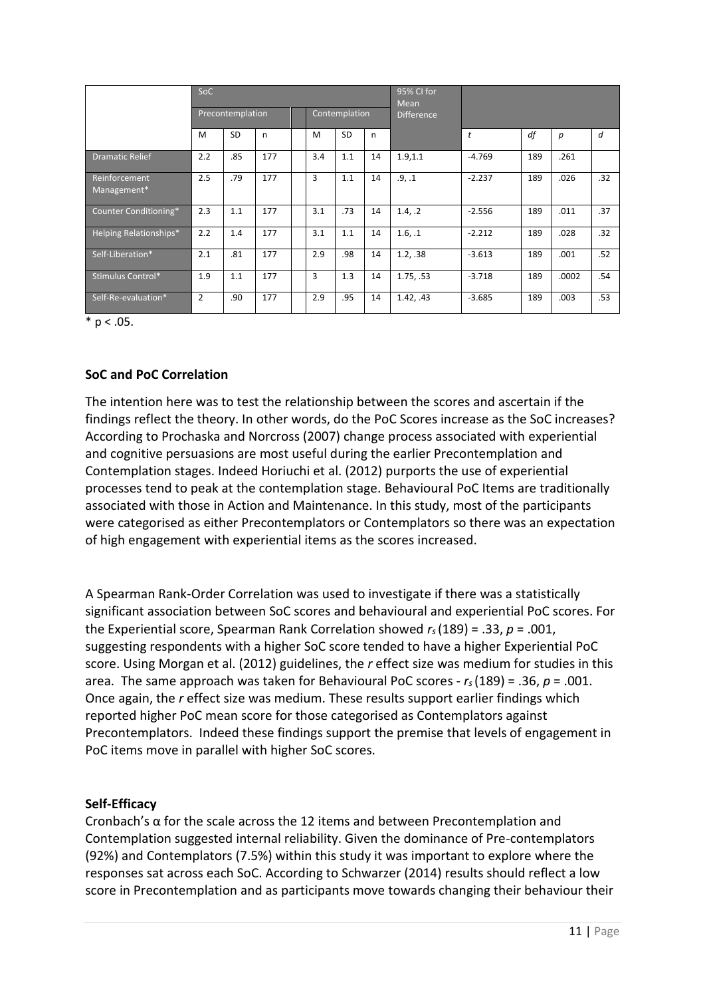| SoC                          |                                   |           |              |  |                   |           |    | 95% CI for<br>Mean |              |     |       |     |
|------------------------------|-----------------------------------|-----------|--------------|--|-------------------|-----------|----|--------------------|--------------|-----|-------|-----|
|                              | Contemplation<br>Precontemplation |           |              |  | <b>Difference</b> |           |    |                    |              |     |       |     |
|                              | M                                 | <b>SD</b> | $\mathsf{n}$ |  | M                 | <b>SD</b> | n  |                    | $\mathbf{t}$ | df  | p     | d   |
| <b>Dramatic Relief</b>       | 2.2                               | .85       | 177          |  | 3.4               | 1.1       | 14 | 1.9, 1.1           | $-4.769$     | 189 | .261  |     |
| Reinforcement<br>Management* | 2.5                               | .79       | 177          |  | 3                 | 1.1       | 14 | .9.1               | $-2.237$     | 189 | .026  | .32 |
| Counter Conditioning*        | 2.3                               | 1.1       | 177          |  | 3.1               | .73       | 14 | 1.4. .2            | $-2.556$     | 189 | .011  | .37 |
| Helping Relationships*       | 2.2                               | 1.4       | 177          |  | 3.1               | 1.1       | 14 | 1.6.1              | $-2.212$     | 189 | .028  | .32 |
| Self-Liberation*             | 2.1                               | .81       | 177          |  | 2.9               | .98       | 14 | 1.2, .38           | $-3.613$     | 189 | .001  | .52 |
| Stimulus Control*            | 1.9                               | 1.1       | 177          |  | 3                 | 1.3       | 14 | 1.75. .53          | $-3.718$     | 189 | .0002 | .54 |
| Self-Re-evaluation*          | $\overline{2}$                    | .90       | 177          |  | 2.9               | .95       | 14 | 1.42, .43          | $-3.685$     | 189 | .003  | .53 |

 $*$  p < .05.

## **SoC and PoC Correlation**

The intention here was to test the relationship between the scores and ascertain if the findings reflect the theory. In other words, do the PoC Scores increase as the SoC increases? According to Prochaska and Norcross (2007) change process associated with experiential and cognitive persuasions are most useful during the earlier Precontemplation and Contemplation stages. Indeed Horiuchi et al. (2012) purports the use of experiential processes tend to peak at the contemplation stage. Behavioural PoC Items are traditionally associated with those in Action and Maintenance. In this study, most of the participants were categorised as either Precontemplators or Contemplators so there was an expectation of high engagement with experiential items as the scores increased.

A Spearman Rank-Order Correlation was used to investigate if there was a statistically significant association between SoC scores and behavioural and experiential PoC scores. For the Experiential score, Spearman Rank Correlation showed  $r_s(189) = .33$ ,  $p = .001$ , suggesting respondents with a higher SoC score tended to have a higher Experiential PoC score. Using Morgan et al. (2012) guidelines, the *r* effect size was medium for studies in this area. The same approach was taken for Behavioural PoC scores - *rs* (189) = .36, *p* = .001. Once again, the *r* effect size was medium. These results support earlier findings which reported higher PoC mean score for those categorised as Contemplators against Precontemplators. Indeed these findings support the premise that levels of engagement in PoC items move in parallel with higher SoC scores.

#### **Self-Efficacy**

Cronbach's  $\alpha$  for the scale across the 12 items and between Precontemplation and Contemplation suggested internal reliability. Given the dominance of Pre-contemplators (92%) and Contemplators (7.5%) within this study it was important to explore where the responses sat across each SoC. According to Schwarzer (2014) results should reflect a low score in Precontemplation and as participants move towards changing their behaviour their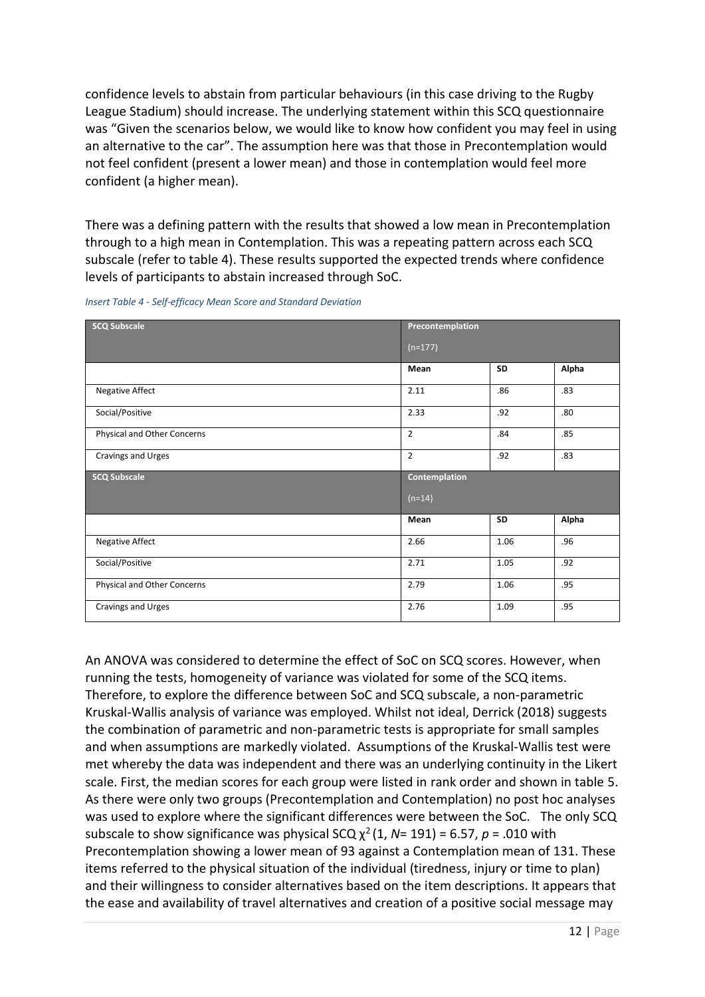confidence levels to abstain from particular behaviours (in this case driving to the Rugby League Stadium) should increase. The underlying statement within this SCQ questionnaire was "Given the scenarios below, we would like to know how confident you may feel in using an alternative to the car". The assumption here was that those in Precontemplation would not feel confident (present a lower mean) and those in contemplation would feel more confident (a higher mean).

There was a defining pattern with the results that showed a low mean in Precontemplation through to a high mean in Contemplation. This was a repeating pattern across each SCQ subscale (refer to table 4). These results supported the expected trends where confidence levels of participants to abstain increased through SoC.

| <b>SCQ Subscale</b>         | Precontemplation     |      |       |
|-----------------------------|----------------------|------|-------|
|                             | $(n=177)$            |      |       |
|                             | Mean                 | SD   | Alpha |
| Negative Affect             | 2.11                 | .86  | .83   |
| Social/Positive             | 2.33                 | .92  | .80   |
| Physical and Other Concerns | $\overline{2}$       | .84  | .85   |
| Cravings and Urges          | $\overline{2}$       | .92  | .83   |
|                             |                      |      |       |
| <b>SCQ Subscale</b>         | <b>Contemplation</b> |      |       |
|                             | $(n=14)$             |      |       |
|                             | Mean                 | SD   | Alpha |
| Negative Affect             | 2.66                 | 1.06 | .96   |
| Social/Positive             | 2.71                 | 1.05 | .92   |
| Physical and Other Concerns | 2.79                 | 1.06 | .95   |

*Insert Table 4 - Self-efficacy Mean Score and Standard Deviation*

An ANOVA was considered to determine the effect of SoC on SCQ scores. However, when running the tests, homogeneity of variance was violated for some of the SCQ items. Therefore, to explore the difference between SoC and SCQ subscale, a non-parametric Kruskal-Wallis analysis of variance was employed. Whilst not ideal, Derrick (2018) suggests the combination of parametric and non-parametric tests is appropriate for small samples and when assumptions are markedly violated. Assumptions of the Kruskal-Wallis test were met whereby the data was independent and there was an underlying continuity in the Likert scale. First, the median scores for each group were listed in rank order and shown in table 5. As there were only two groups (Precontemplation and Contemplation) no post hoc analyses was used to explore where the significant differences were between the SoC. The only SCQ subscale to show significance was physical SCQ  $\chi^2$  (1, *N*= 191) = 6.57, *p* = .010 with Precontemplation showing a lower mean of 93 against a Contemplation mean of 131. These items referred to the physical situation of the individual (tiredness, injury or time to plan) and their willingness to consider alternatives based on the item descriptions. It appears that the ease and availability of travel alternatives and creation of a positive social message may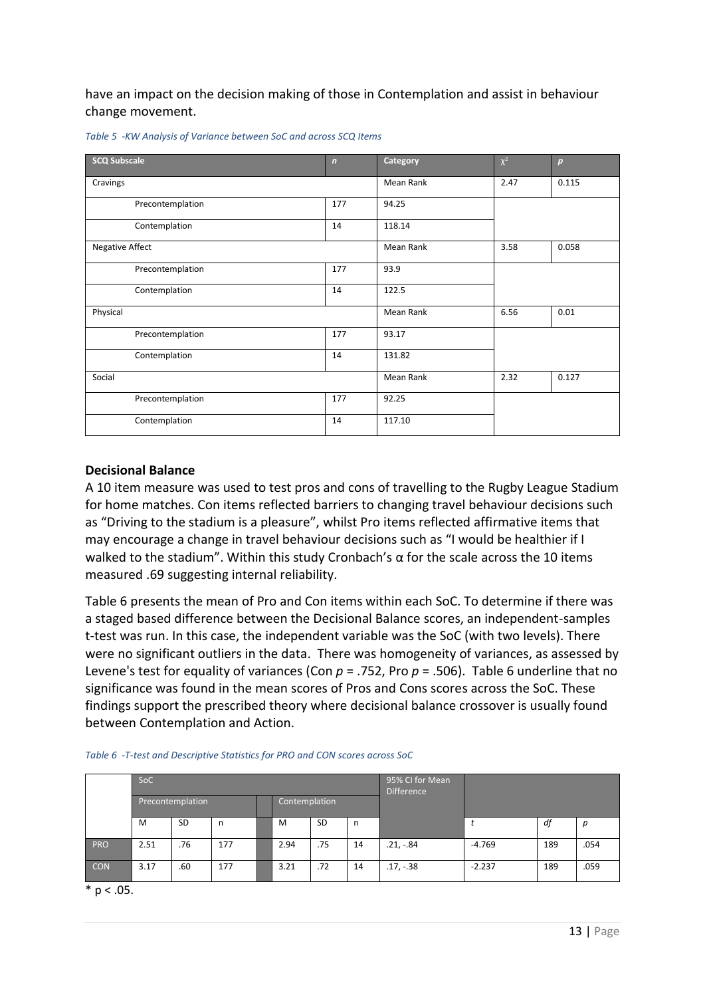have an impact on the decision making of those in Contemplation and assist in behaviour change movement.

| <b>SCQ Subscale</b>    | $\overline{ }$ | Category  | $\chi^2$ | $\boldsymbol{p}$ |
|------------------------|----------------|-----------|----------|------------------|
| Cravings               |                | Mean Rank | 2.47     | 0.115            |
| Precontemplation       | 177            | 94.25     |          |                  |
| Contemplation          | 14             | 118.14    |          |                  |
| <b>Negative Affect</b> |                | Mean Rank | 3.58     | 0.058            |
| Precontemplation       | 177            | 93.9      |          |                  |
| Contemplation          | 14             | 122.5     |          |                  |
| Physical               |                | Mean Rank | 6.56     | 0.01             |
| Precontemplation       | 177            | 93.17     |          |                  |
| Contemplation          | 14             | 131.82    |          |                  |
| Social                 |                | Mean Rank | 2.32     | 0.127            |
| Precontemplation       | 177            | 92.25     |          |                  |
| Contemplation          | 14             | 117.10    |          |                  |

*Table 5 -KW Analysis of Variance between SoC and across SCQ Items*

#### **Decisional Balance**

A 10 item measure was used to test pros and cons of travelling to the Rugby League Stadium for home matches. Con items reflected barriers to changing travel behaviour decisions such as "Driving to the stadium is a pleasure", whilst Pro items reflected affirmative items that may encourage a change in travel behaviour decisions such as "I would be healthier if I walked to the stadium". Within this study Cronbach's α for the scale across the 10 items measured .69 suggesting internal reliability.

Table 6 presents the mean of Pro and Con items within each SoC. To determine if there was a staged based difference between the Decisional Balance scores, an independent-samples t-test was run. In this case, the independent variable was the SoC (with two levels). There were no significant outliers in the data. There was homogeneity of variances, as assessed by Levene's test for equality of variances (Con *p* = .752, Pro *p* = .506). Table 6 underline that no significance was found in the mean scores of Pros and Cons scores across the SoC. These findings support the prescribed theory where decisional balance crossover is usually found between Contemplation and Action.

|            | SoC              |           |     |  |                   |           | 95% CI for Mean<br><b>Difference</b> |             |          |     |      |
|------------|------------------|-----------|-----|--|-------------------|-----------|--------------------------------------|-------------|----------|-----|------|
|            | Precontemplation |           |     |  | Contemplation     |           |                                      |             |          |     |      |
|            | M                | <b>SD</b> | n   |  | M                 | <b>SD</b> | n                                    |             |          | df  | р    |
| <b>PRO</b> | 2.51             | .76       | 177 |  | 2.94              | .75       | 14                                   | $.21, -.84$ | $-4.769$ | 189 | .054 |
| <b>CON</b> | 3.17             | .60       | 177 |  | 3.21<br>.72<br>14 |           |                                      | $.17, -.38$ | $-2.237$ | 189 | .059 |

|  | Table 6 - T-test and Descriptive Statistics for PRO and CON scores across SoC |  |
|--|-------------------------------------------------------------------------------|--|

 $*$  p < .05.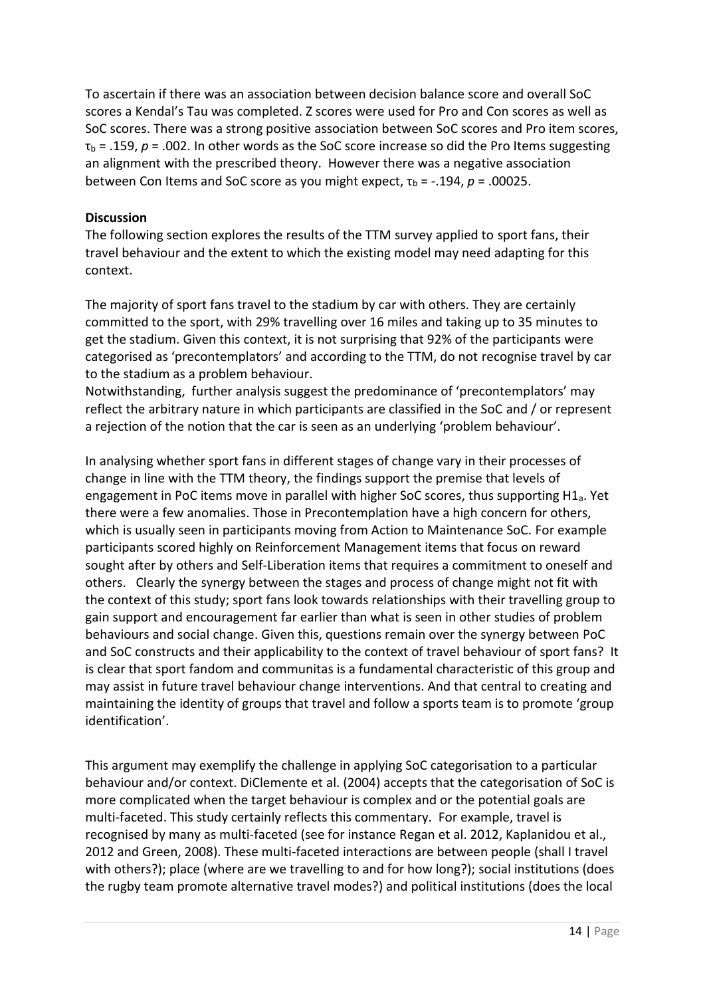To ascertain if there was an association between decision balance score and overall SoC scores a Kendal's Tau was completed. Z scores were used for Pro and Con scores as well as SoC scores. There was a strong positive association between SoC scores and Pro item scores,  $\tau_{\rm b}$  = .159,  $p$  = .002. In other words as the SoC score increase so did the Pro Items suggesting an alignment with the prescribed theory. However there was a negative association between Con Items and SoC score as you might expect,  $\tau_b$  = -.194,  $p$  = .00025.

## **Discussion**

The following section explores the results of the TTM survey applied to sport fans, their travel behaviour and the extent to which the existing model may need adapting for this context.

The majority of sport fans travel to the stadium by car with others. They are certainly committed to the sport, with 29% travelling over 16 miles and taking up to 35 minutes to get the stadium. Given this context, it is not surprising that 92% of the participants were categorised as 'precontemplators' and according to the TTM, do not recognise travel by car to the stadium as a problem behaviour.

Notwithstanding, further analysis suggest the predominance of 'precontemplators' may reflect the arbitrary nature in which participants are classified in the SoC and / or represent a rejection of the notion that the car is seen as an underlying 'problem behaviour'.

In analysing whether sport fans in different stages of change vary in their processes of change in line with the TTM theory, the findings support the premise that levels of engagement in PoC items move in parallel with higher SoC scores, thus supporting H1<sub>a</sub>. Yet there were a few anomalies. Those in Precontemplation have a high concern for others, which is usually seen in participants moving from Action to Maintenance SoC. For example participants scored highly on Reinforcement Management items that focus on reward sought after by others and Self-Liberation items that requires a commitment to oneself and others. Clearly the synergy between the stages and process of change might not fit with the context of this study; sport fans look towards relationships with their travelling group to gain support and encouragement far earlier than what is seen in other studies of problem behaviours and social change. Given this, questions remain over the synergy between PoC and SoC constructs and their applicability to the context of travel behaviour of sport fans? It is clear that sport fandom and communitas is a fundamental characteristic of this group and may assist in future travel behaviour change interventions. And that central to creating and maintaining the identity of groups that travel and follow a sports team is to promote 'group identification'.

This argument may exemplify the challenge in applying SoC categorisation to a particular behaviour and/or context. DiClemente et al. (2004) accepts that the categorisation of SoC is more complicated when the target behaviour is complex and or the potential goals are multi-faceted. This study certainly reflects this commentary. For example, travel is recognised by many as multi-faceted (see for instance Regan et al. 2012, Kaplanidou et al., 2012 and Green, 2008). These multi-faceted interactions are between people (shall I travel with others?); place (where are we travelling to and for how long?); social institutions (does the rugby team promote alternative travel modes?) and political institutions (does the local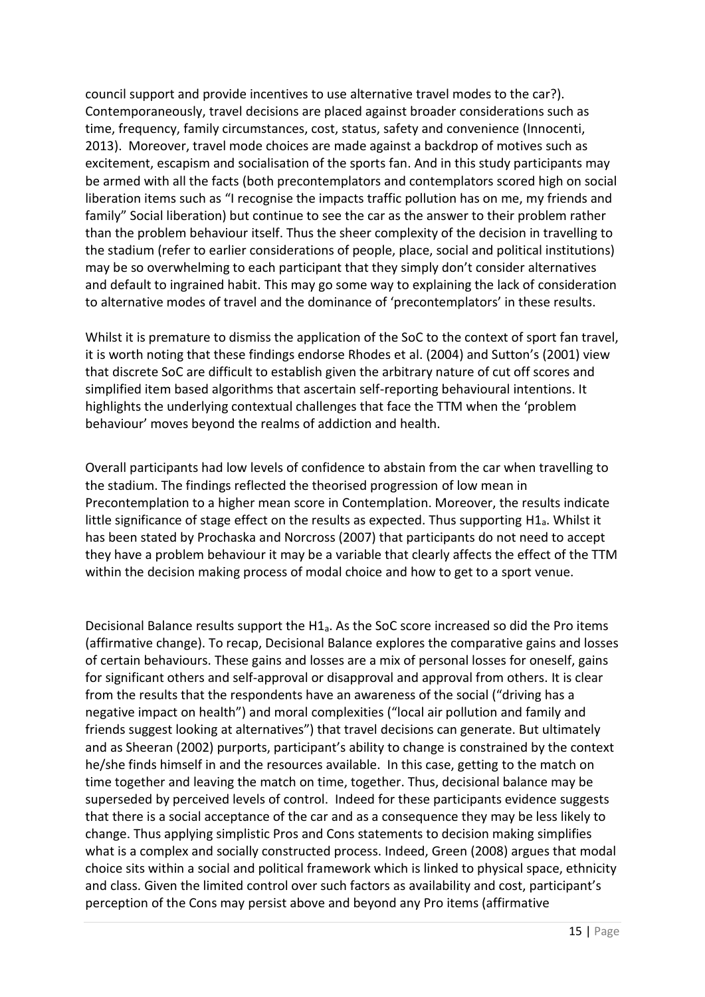council support and provide incentives to use alternative travel modes to the car?). Contemporaneously, travel decisions are placed against broader considerations such as time, frequency, family circumstances, cost, status, safety and convenience (Innocenti, 2013). Moreover, travel mode choices are made against a backdrop of motives such as excitement, escapism and socialisation of the sports fan. And in this study participants may be armed with all the facts (both precontemplators and contemplators scored high on social liberation items such as "I recognise the impacts traffic pollution has on me, my friends and family" Social liberation) but continue to see the car as the answer to their problem rather than the problem behaviour itself. Thus the sheer complexity of the decision in travelling to the stadium (refer to earlier considerations of people, place, social and political institutions) may be so overwhelming to each participant that they simply don't consider alternatives and default to ingrained habit. This may go some way to explaining the lack of consideration to alternative modes of travel and the dominance of 'precontemplators' in these results.

Whilst it is premature to dismiss the application of the SoC to the context of sport fan travel, it is worth noting that these findings endorse Rhodes et al. (2004) and Sutton's (2001) view that discrete SoC are difficult to establish given the arbitrary nature of cut off scores and simplified item based algorithms that ascertain self-reporting behavioural intentions. It highlights the underlying contextual challenges that face the TTM when the 'problem behaviour' moves beyond the realms of addiction and health.

Overall participants had low levels of confidence to abstain from the car when travelling to the stadium. The findings reflected the theorised progression of low mean in Precontemplation to a higher mean score in Contemplation. Moreover, the results indicate little significance of stage effect on the results as expected. Thus supporting H1a. Whilst it has been stated by Prochaska and Norcross (2007) that participants do not need to accept they have a problem behaviour it may be a variable that clearly affects the effect of the TTM within the decision making process of modal choice and how to get to a sport venue.

Decisional Balance results support the H $1_a$ . As the SoC score increased so did the Pro items (affirmative change). To recap, Decisional Balance explores the comparative gains and losses of certain behaviours. These gains and losses are a mix of personal losses for oneself, gains for significant others and self-approval or disapproval and approval from others. It is clear from the results that the respondents have an awareness of the social ("driving has a negative impact on health") and moral complexities ("local air pollution and family and friends suggest looking at alternatives") that travel decisions can generate. But ultimately and as Sheeran (2002) purports, participant's ability to change is constrained by the context he/she finds himself in and the resources available. In this case, getting to the match on time together and leaving the match on time, together. Thus, decisional balance may be superseded by perceived levels of control. Indeed for these participants evidence suggests that there is a social acceptance of the car and as a consequence they may be less likely to change. Thus applying simplistic Pros and Cons statements to decision making simplifies what is a complex and socially constructed process. Indeed, Green (2008) argues that modal choice sits within a social and political framework which is linked to physical space, ethnicity and class. Given the limited control over such factors as availability and cost, participant's perception of the Cons may persist above and beyond any Pro items (affirmative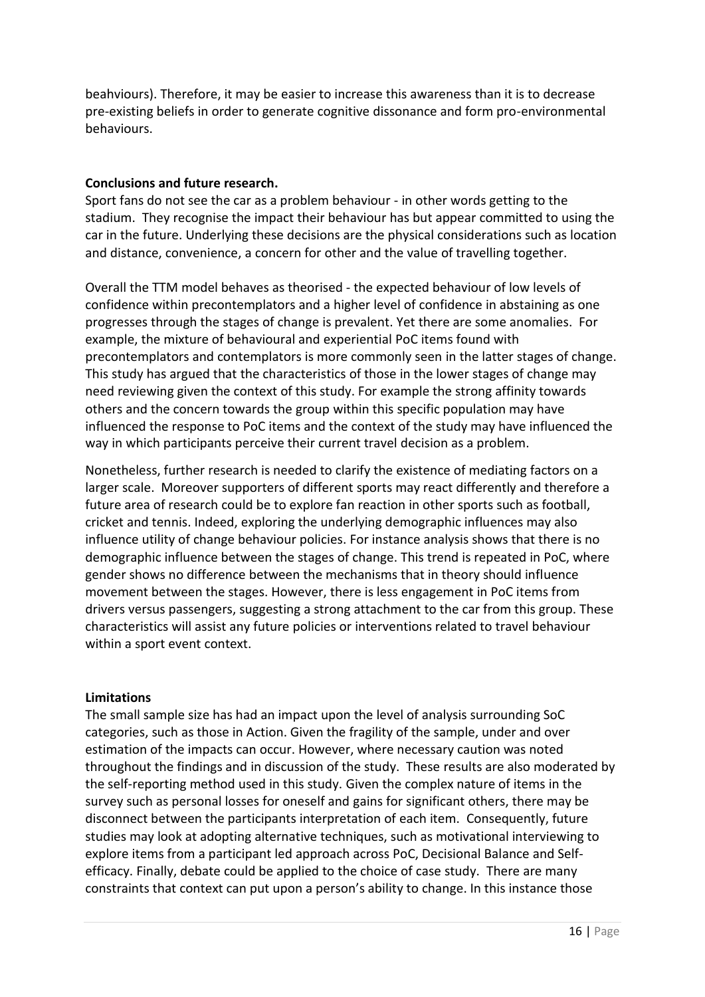beahviours). Therefore, it may be easier to increase this awareness than it is to decrease pre-existing beliefs in order to generate cognitive dissonance and form pro-environmental behaviours.

#### **Conclusions and future research.**

Sport fans do not see the car as a problem behaviour - in other words getting to the stadium. They recognise the impact their behaviour has but appear committed to using the car in the future. Underlying these decisions are the physical considerations such as location and distance, convenience, a concern for other and the value of travelling together.

Overall the TTM model behaves as theorised - the expected behaviour of low levels of confidence within precontemplators and a higher level of confidence in abstaining as one progresses through the stages of change is prevalent. Yet there are some anomalies. For example, the mixture of behavioural and experiential PoC items found with precontemplators and contemplators is more commonly seen in the latter stages of change. This study has argued that the characteristics of those in the lower stages of change may need reviewing given the context of this study. For example the strong affinity towards others and the concern towards the group within this specific population may have influenced the response to PoC items and the context of the study may have influenced the way in which participants perceive their current travel decision as a problem.

Nonetheless, further research is needed to clarify the existence of mediating factors on a larger scale. Moreover supporters of different sports may react differently and therefore a future area of research could be to explore fan reaction in other sports such as football, cricket and tennis. Indeed, exploring the underlying demographic influences may also influence utility of change behaviour policies. For instance analysis shows that there is no demographic influence between the stages of change. This trend is repeated in PoC, where gender shows no difference between the mechanisms that in theory should influence movement between the stages. However, there is less engagement in PoC items from drivers versus passengers, suggesting a strong attachment to the car from this group. These characteristics will assist any future policies or interventions related to travel behaviour within a sport event context.

#### **Limitations**

The small sample size has had an impact upon the level of analysis surrounding SoC categories, such as those in Action. Given the fragility of the sample, under and over estimation of the impacts can occur. However, where necessary caution was noted throughout the findings and in discussion of the study. These results are also moderated by the self-reporting method used in this study. Given the complex nature of items in the survey such as personal losses for oneself and gains for significant others, there may be disconnect between the participants interpretation of each item. Consequently, future studies may look at adopting alternative techniques, such as motivational interviewing to explore items from a participant led approach across PoC, Decisional Balance and Selfefficacy. Finally, debate could be applied to the choice of case study. There are many constraints that context can put upon a person's ability to change. In this instance those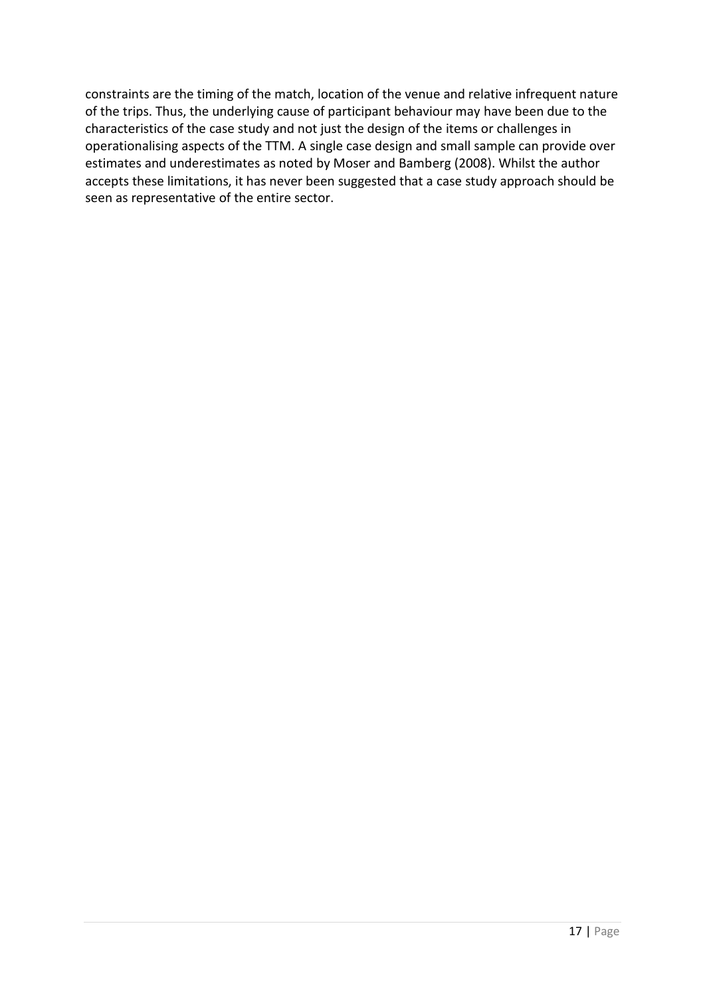constraints are the timing of the match, location of the venue and relative infrequent nature of the trips. Thus, the underlying cause of participant behaviour may have been due to the characteristics of the case study and not just the design of the items or challenges in operationalising aspects of the TTM. A single case design and small sample can provide over estimates and underestimates as noted by Moser and Bamberg (2008). Whilst the author accepts these limitations, it has never been suggested that a case study approach should be seen as representative of the entire sector.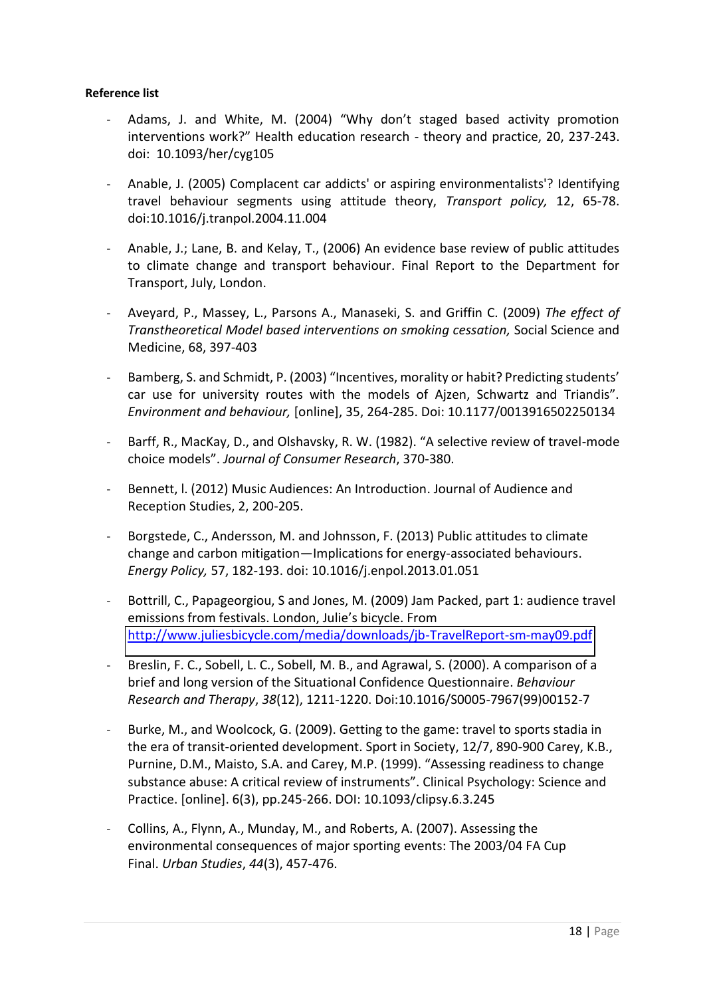#### **Reference list**

- Adams, J. and White, M. (2004) "Why don't staged based activity promotion interventions work?" Health education research - theory and practice, 20, 237-243. doi: 10.1093/her/cyg105
- Anable, J. (2005) Complacent car addicts' or aspiring environmentalists'? Identifying travel behaviour segments using attitude theory, *Transport policy,* 12, 65-78. doi:10.1016/j.tranpol.2004.11.004
- Anable, J.; Lane, B. and Kelay, T., (2006) An evidence base review of public attitudes to climate change and transport behaviour. Final Report to the Department for Transport, July, London.
- Aveyard, P., Massey, L., Parsons A., Manaseki, S. and Griffin C. (2009) *The effect of Transtheoretical Model based interventions on smoking cessation,* Social Science and Medicine, 68, 397-403
- Bamberg, S. and Schmidt, P. (2003) "Incentives, morality or habit? Predicting students' car use for university routes with the models of Aizen, Schwartz and Triandis". *Environment and behaviour,* [online], 35, 264-285. Doi: 10.1177/0013916502250134
- Barff, R., MacKay, D., and Olshavsky, R. W. (1982). "A selective review of travel-mode choice models". Journal of Consumer Research, 370-380.
- Bennett, I. (2012) Music Audiences: An Introduction. Journal of Audience and Reception Studies, 2, 200-205.
- Borgstede, C., Andersson, M. and Johnsson, F. (2013) Public attitudes to climate change and carbon mitigation—Implications for energy-associated behaviours. *Energy Policy,* 57, 182-193. doi: 10.1016/j.enpol.2013.01.051
- Bottrill, C., Papageorgiou, S and Jones, M. (2009) Jam Packed, part 1: audience travel emissions from festivals. London. Julie's bicycle. From <http://www.juliesbicycle.com/media/downloads/jb-TravelReport-sm-may09.pdf>
- Breslin, F. C., Sobell, L. C., Sobell, M. B., and Agrawal, S. (2000). A comparison of a brief and long version of the Situational Confidence Questionnaire. *Behaviour Research and Therapy*, *38*(12), 1211-1220. Doi:10.1016/S0005-7967(99)00152-7
- Burke, M., and Woolcock, G. (2009). Getting to the game: travel to sports stadia in the era of transit-oriented development. Sport in Society, 12/7, 890-900 Carey, K.B., Purnine, D.M., Maisto, S.A. and Carey, M.P. (1999). "Assessing readiness to change substance abuse: A critical review of instruments". Clinical Psychology: Science and Practice. [online]. 6(3), pp.245-266. DOI: 10.1093/clipsy.6.3.245
- Collins, A., Flynn, A., Munday, M., and Roberts, A. (2007). Assessing the environmental consequences of major sporting events: The 2003/04 FA Cup Final. *Urban Studies*, *44*(3), 457-476.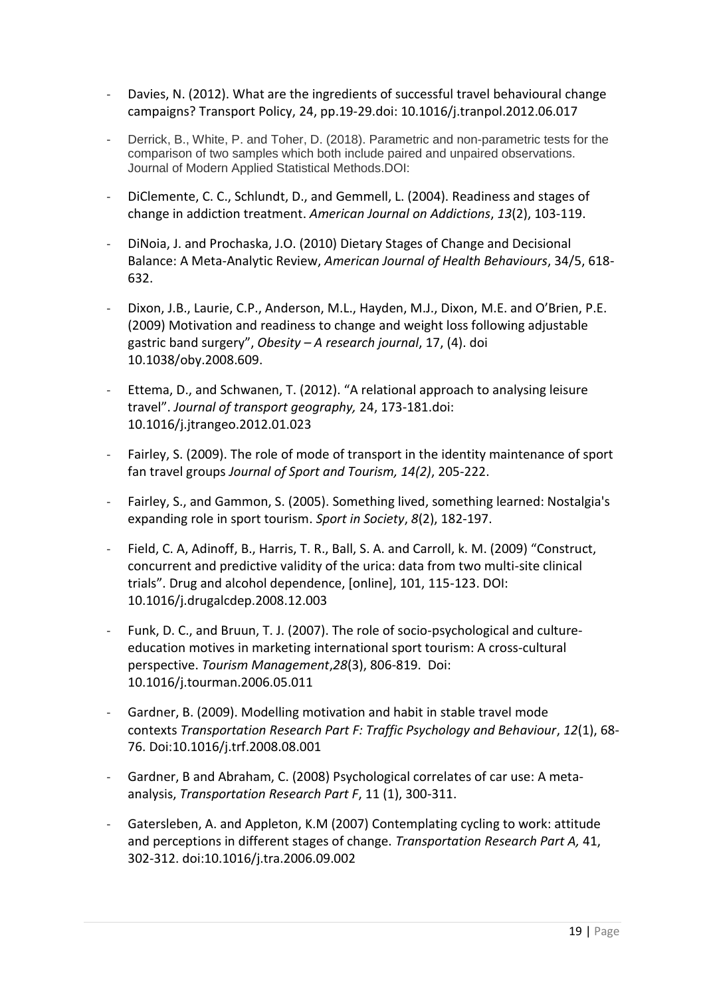- Davies, N. (2012). What are the ingredients of successful travel behavioural change campaigns? Transport Policy, 24, pp.19-29.doi: 10.1016/j.tranpol.2012.06.017
- Derrick, B., White, P. and Toher, D. (2018). Parametric and non-parametric tests for the comparison of two samples which both include paired and unpaired observations. Journal of Modern Applied Statistical Methods.DOI:
- DiClemente, C. C., Schlundt, D., and Gemmell, L. (2004). Readiness and stages of change in addiction treatment. *American Journal on Addictions*, *13*(2), 103-119.
- DiNoia, J. and Prochaska, J.O. (2010) Dietary Stages of Change and Decisional Balance: A Meta-Analytic Review, *American Journal of Health Behaviours*, 34/5, 618- 632.
- Dixon, J.B., Laurie, C.P., Anderson, M.L., Hayden, M.J., Dixon, M.E. and O'Brien, P.E. (2009) Motivation and readiness to change and weight loss following adjustable gastric band surgery", Obesity - A research journal, 17, (4). doi 10.1038/oby.2008.609.
- Ettema, D., and Schwanen, T. (2012). "A relational approach to analysing leisure travel". Journal of transport geography, 24, 173-181.doi: 10.1016/j.jtrangeo.2012.01.023
- Fairley, S. (2009). The role of mode of transport in the identity maintenance of sport fan travel groups *Journal of Sport and Tourism, 14(2)*, 205-222.
- Fairley, S., and Gammon, S. (2005). Something lived, something learned: Nostalgia's expanding role in sport tourism. *Sport in Society*, *8*(2), 182-197.
- Field, C. A, Adinoff, B., Harris, T. R., Ball, S. A. and Carroll, k. M. (2009) "Construct, concurrent and predictive validity of the urica: data from two multi-site clinical trials". Drug and alcohol dependence, [online], 101, 115-123. DOI: 10.1016/j.drugalcdep.2008.12.003
- Funk, D. C., and Bruun, T. J. (2007). The role of socio-psychological and cultureeducation motives in marketing international sport tourism: A cross-cultural perspective. *Tourism Management*,*28*(3), 806-819. Doi: 10.1016/j.tourman.2006.05.011
- Gardner, B. (2009). Modelling motivation and habit in stable travel mode contexts *Transportation Research Part F: Traffic Psychology and Behaviour*, *12*(1), 68- 76. Doi:10.1016/j.trf.2008.08.001
- Gardner, B and Abraham, C. (2008) Psychological correlates of car use: A metaanalysis, *Transportation Research Part F*, 11 (1), 300-311.
- Gatersleben, A. and Appleton, K.M (2007) Contemplating cycling to work: attitude and perceptions in different stages of change. *Transportation Research Part A,* 41, 302-312. doi:10.1016/j.tra.2006.09.002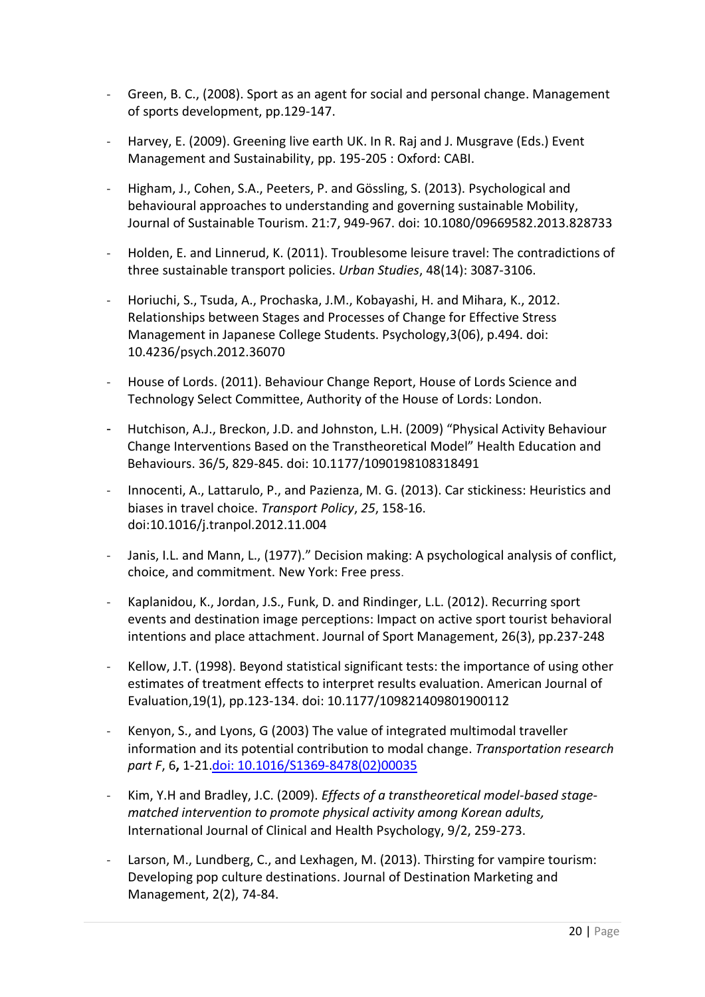- Green, B. C., (2008). Sport as an agent for social and personal change. Management of sports development, pp.129-147.
- Harvey, E. (2009). Greening live earth UK. In R. Raj and J. Musgrave (Eds.) Event Management and Sustainability, pp. 195-205 : Oxford: CABI.
- Higham, J., Cohen, S.A., Peeters, P. and Gössling, S. (2013). Psychological and behavioural approaches to understanding and governing sustainable Mobility, Journal of Sustainable Tourism. 21:7, 949-967. doi: 10.1080/09669582.2013.828733
- Holden, E. and Linnerud, K. (2011). Troublesome leisure travel: The contradictions of three sustainable transport policies. *Urban Studies*, 48(14): 3087-3106.
- Horiuchi, S., Tsuda, A., Prochaska, J.M., Kobayashi, H. and Mihara, K., 2012. Relationships between Stages and Processes of Change for Effective Stress Management in Japanese College Students. Psychology,3(06), p.494. doi: 10.4236/psych.2012.36070
- House of Lords. (2011). Behaviour Change Report, House of Lords Science and Technology Select Committee, Authority of the House of Lords: London.
- Hutchison, A.J., Breckon, J.D. and Johnston, L.H. (2009) "Physical Activity Behaviour Change Interventions Based on the Transtheoretical Model" Health Education and Behaviours. 36/5, 829-845. doi: 10.1177/1090198108318491
- Innocenti, A., Lattarulo, P., and Pazienza, M. G. (2013). Car stickiness: Heuristics and biases in travel choice. *Transport Policy*, *25*, 158-16. doi:10.1016/j.tranpol.2012.11.004
- Janis, I.L. and Mann, L., (1977)." Decision making: A psychological analysis of conflict, choice, and commitment. New York: Free press.
- Kaplanidou, K., Jordan, J.S., Funk, D. and Rindinger, L.L. (2012). Recurring sport events and destination image perceptions: Impact on active sport tourist behavioral intentions and place attachment. Journal of Sport Management, 26(3), pp.237-248
- Kellow, J.T. (1998). Beyond statistical significant tests: the importance of using other estimates of treatment effects to interpret results evaluation. American Journal of Evaluation,19(1), pp.123-134. doi: 10.1177/109821409801900112
- Kenyon, S., and Lyons, G (2003) The value of integrated multimodal traveller information and its potential contribution to modal change. *Transportation research part F*, 6**,** 1-21.doi: 10.1016/S1369-8478(02)00035
- Kim, Y.H and Bradley, J.C. (2009). *Effects of a transtheoretical model-based stagematched intervention to promote physical activity among Korean adults,*  International Journal of Clinical and Health Psychology, 9/2, 259-273.
- Larson, M., Lundberg, C., and Lexhagen, M. (2013). Thirsting for vampire tourism: Developing pop culture destinations. Journal of Destination Marketing and Management, 2(2), 74-84.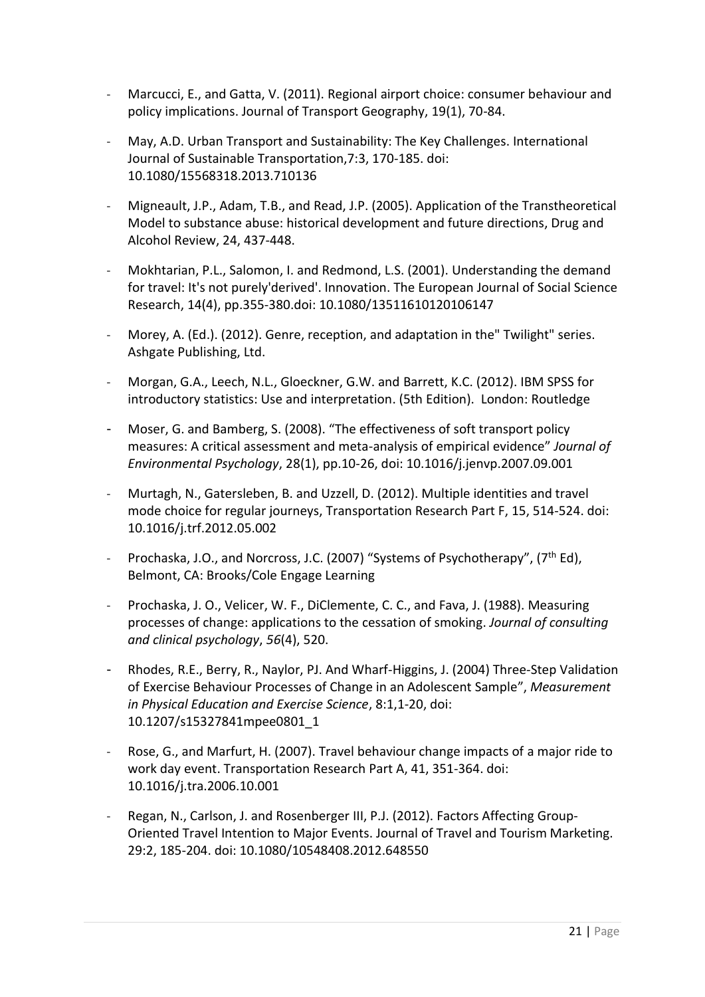- Marcucci, E., and Gatta, V. (2011). Regional airport choice: consumer behaviour and policy implications. Journal of Transport Geography, 19(1), 70-84.
- May, A.D. Urban Transport and Sustainability: The Key Challenges. International Journal of Sustainable Transportation,7:3, 170-185. doi: 10.1080/15568318.2013.710136
- Migneault, J.P., Adam, T.B., and Read, J.P. (2005). Application of the Transtheoretical Model to substance abuse: historical development and future directions, Drug and Alcohol Review, 24, 437-448.
- Mokhtarian, P.L., Salomon, I. and Redmond, L.S. (2001). Understanding the demand for travel: It's not purely'derived'. Innovation. The European Journal of Social Science Research, 14(4), pp.355-380.doi: 10.1080/13511610120106147
- Morey, A. (Ed.). (2012). Genre, reception, and adaptation in the" Twilight" series. Ashgate Publishing, Ltd.
- Morgan, G.A., Leech, N.L., Gloeckner, G.W. and Barrett, K.C. (2012). IBM SPSS for introductory statistics: Use and interpretation. (5th Edition). London: Routledge
- Moser, G. and Bamberg, S. (2008). "The effectiveness of soft transport policy measures: A critical assessment and meta-analysis of empirical evidence" Journal of *Environmental Psychology*, 28(1), pp.10-26, doi: 10.1016/j.jenvp.2007.09.001
- Murtagh, N., Gatersleben, B. and Uzzell, D. (2012). Multiple identities and travel mode choice for regular journeys, Transportation Research Part F, 15, 514-524. doi: 10.1016/j.trf.2012.05.002
- Prochaska, J.O., and Norcross, J.C. (2007) "Systems of Psychotherapy", (7<sup>th</sup> Ed), Belmont, CA: Brooks/Cole Engage Learning
- Prochaska, J. O., Velicer, W. F., DiClemente, C. C., and Fava, J. (1988). Measuring processes of change: applications to the cessation of smoking. *Journal of consulting and clinical psychology*, *56*(4), 520.
- Rhodes, R.E., Berry, R., Naylor, PJ. And Wharf-Higgins, J. (2004) Three-Step Validation of Exercise Behaviour Processes of Change in an Adolescent Sample", Measurement *in Physical Education and Exercise Science*, 8:1,1-20, doi: 10.1207/s15327841mpee0801\_1
- Rose, G., and Marfurt, H. (2007). Travel behaviour change impacts of a major ride to work day event. Transportation Research Part A, 41, 351-364. doi: 10.1016/j.tra.2006.10.001
- Regan, N., Carlson, J. and Rosenberger III, P.J. (2012). Factors Affecting Group-Oriented Travel Intention to Major Events. Journal of Travel and Tourism Marketing. 29:2, 185-204. doi: 10.1080/10548408.2012.648550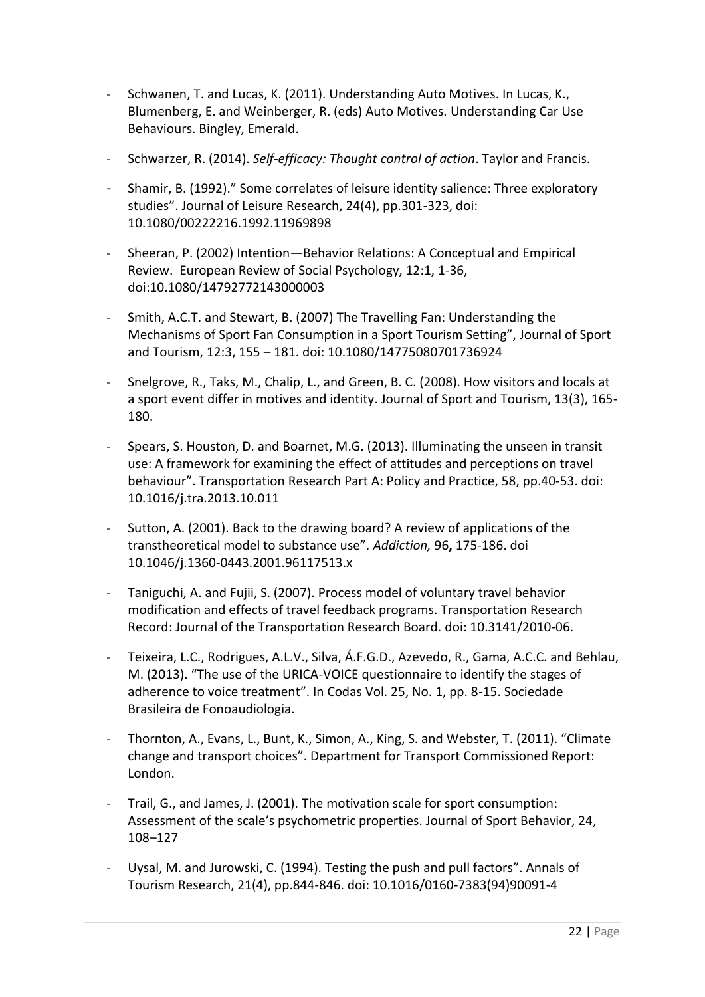- Schwanen, T. and Lucas, K. (2011). Understanding Auto Motives. In Lucas, K., Blumenberg, E. and Weinberger, R. (eds) Auto Motives. Understanding Car Use Behaviours. Bingley, Emerald.
- Schwarzer, R. (2014). *Self-efficacy: Thought control of action*. Taylor and Francis.
- Shamir, B. (1992)." Some correlates of leisure identity salience: Three exploratory studies". Journal of Leisure Research, 24(4), pp.301-323, doi: 10.1080/00222216.1992.11969898
- Sheeran, P. (2002) Intention-Behavior Relations: A Conceptual and Empirical Review. European Review of Social Psychology, 12:1, 1-36, doi:10.1080/14792772143000003
- Smith, A.C.T. and Stewart, B. (2007) The Travelling Fan: Understanding the Mechanisms of Sport Fan Consumption in a Sport Tourism Setting". Journal of Sport and Tourism, 12:3, 155 - 181. doi: 10.1080/14775080701736924
- Snelgrove, R., Taks, M., Chalip, L., and Green, B. C. (2008). How visitors and locals at a sport event differ in motives and identity. Journal of Sport and Tourism, 13(3), 165- 180.
- Spears, S. Houston, D. and Boarnet, M.G. (2013). Illuminating the unseen in transit use: A framework for examining the effect of attitudes and perceptions on travel behaviour". Transportation Research Part A: Policy and Practice, 58, pp.40-53. doi: 10.1016/j.tra.2013.10.011
- Sutton, A. (2001). Back to the drawing board? A review of applications of the transtheoretical model to substance use". Addiction, 96, 175-186. doi 10.1046/j.1360-0443.2001.96117513.x
- Taniguchi, A. and Fujii, S. (2007). Process model of voluntary travel behavior modification and effects of travel feedback programs. Transportation Research Record: Journal of the Transportation Research Board. doi: 10.3141/2010-06.
- Teixeira, L.C., Rodrigues, A.L.V., Silva, Á.F.G.D., Azevedo, R., Gama, A.C.C. and Behlau, M. (2013). "The use of the URICA-VOICE questionnaire to identify the stages of adherence to voice treatment". In Codas Vol. 25, No. 1, pp. 8-15. Sociedade Brasileira de Fonoaudiologia.
- Thornton, A., Evans, L., Bunt, K., Simon, A., King, S. and Webster, T. (2011). "Climate change and transport choices". Department for Transport Commissioned Report: London.
- Trail, G., and James, J. (2001). The motivation scale for sport consumption: Assessment of the scale's psychometric properties. Journal of Sport Behavior, 24, 108-127
- Uysal, M. and Jurowski, C. (1994). Testing the push and pull factors". Annals of Tourism Research, 21(4), pp.844-846. doi: 10.1016/0160-7383(94)90091-4